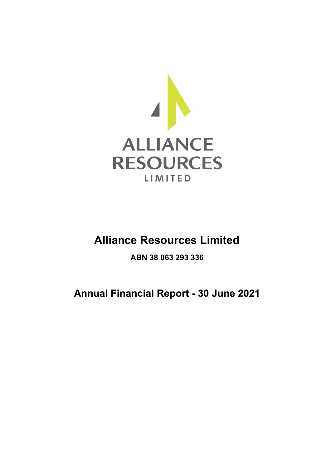

# **Alliance Resources Limited**

**ABN 38 063 293 336** 

**Annual Financial Report - 30 June 2021**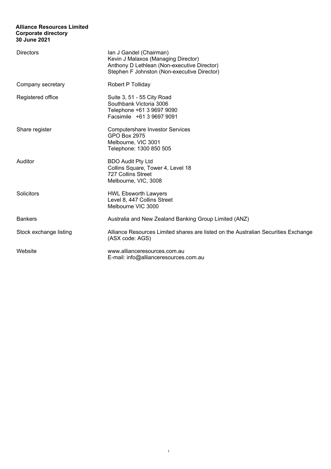#### **Alliance Resources Limited Corporate directory 30 June 2021**

| <b>Directors</b>       | Ian J Gandel (Chairman)<br>Kevin J Malaxos (Managing Director)<br>Anthony D Lethlean (Non-executive Director)<br>Stephen F Johnston (Non-executive Director) |
|------------------------|--------------------------------------------------------------------------------------------------------------------------------------------------------------|
| Company secretary      | Robert P Tolliday                                                                                                                                            |
| Registered office      | Suite 3, 51 - 55 City Road<br>Southbank Victoria 3006<br>Telephone +61 3 9697 9090<br>Facsimile +61 3 9697 9091                                              |
| Share register         | <b>Computershare Investor Services</b><br><b>GPO Box 2975</b><br>Melbourne, VIC 3001<br>Telephone: 1300 850 505                                              |
| Auditor                | <b>BDO Audit Pty Ltd</b><br>Collins Square, Tower 4, Level 18<br><b>727 Collins Street</b><br>Melbourne, VIC, 3008                                           |
| Solicitors             | <b>HWL Ebsworth Lawyers</b><br>Level 8, 447 Collins Street<br>Melbourne VIC 3000                                                                             |
| <b>Bankers</b>         | Australia and New Zealand Banking Group Limited (ANZ)                                                                                                        |
| Stock exchange listing | Alliance Resources Limited shares are listed on the Australian Securities Exchange<br>(ASX code: AGS)                                                        |
| Website                | www.allianceresources.com.au<br>E-mail: info@allianceresources.com.au                                                                                        |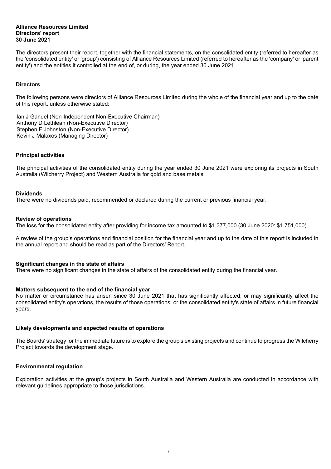The directors present their report, together with the financial statements, on the consolidated entity (referred to hereafter as the 'consolidated entity' or 'group') consisting of Alliance Resources Limited (referred to hereafter as the 'company' or 'parent entity') and the entities it controlled at the end of, or during, the year ended 30 June 2021.

## **Directors**

The following persons were directors of Alliance Resources Limited during the whole of the financial year and up to the date of this report, unless otherwise stated:

Ian J Gandel (Non-Independent Non-Executive Chairman) Anthony D Lethlean (Non-Executive Director) Stephen F Johnston (Non-Executive Director) Kevin J Malaxos (Managing Director)

#### **Principal activities**

The principal activities of the consolidated entity during the year ended 30 June 2021 were exploring its projects in South Australia (Wilcherry Project) and Western Australia for gold and base metals.

#### **Dividends**

There were no dividends paid, recommended or declared during the current or previous financial year.

#### **Review of operations**

The loss for the consolidated entity after providing for income tax amounted to \$1,377,000 (30 June 2020: \$1,751,000).

A review of the group's operations and financial position for the financial year and up to the date of this report is included in the annual report and should be read as part of the Directors' Report.

#### **Significant changes in the state of affairs**

There were no significant changes in the state of affairs of the consolidated entity during the financial year.

#### **Matters subsequent to the end of the financial year**

No matter or circumstance has arisen since 30 June 2021 that has significantly affected, or may significantly affect the consolidated entity's operations, the results of those operations, or the consolidated entity's state of affairs in future financial years.

#### **Likely developments and expected results of operations**

The Boards' strategy for the immediate future is to explore the group's existing projects and continue to progress the Wilcherry Project towards the development stage.

## **Environmental regulation**

Exploration activities at the group's projects in South Australia and Western Australia are conducted in accordance with relevant guidelines appropriate to those jurisdictions.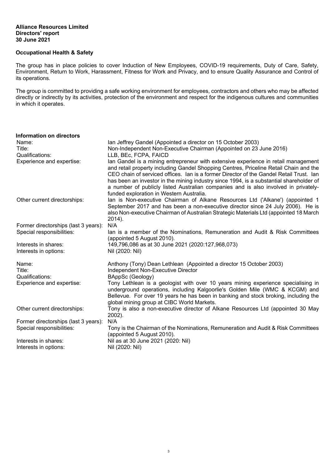# **Occupational Health & Safety**

The group has in place policies to cover Induction of New Employees, COVID-19 requirements, Duty of Care, Safety, Environment, Return to Work, Harassment, Fitness for Work and Privacy, and to ensure Quality Assurance and Control of its operations.

The group is committed to providing a safe working environment for employees, contractors and others who may be affected directly or indirectly by its activities, protection of the environment and respect for the indigenous cultures and communities in which it operates.

| <b>Information on directors</b>      |                                                                                                                                                                                                                                                                                                                                                                                                                                                                                                      |
|--------------------------------------|------------------------------------------------------------------------------------------------------------------------------------------------------------------------------------------------------------------------------------------------------------------------------------------------------------------------------------------------------------------------------------------------------------------------------------------------------------------------------------------------------|
| Name:                                | Ian Jeffrey Gandel (Appointed a director on 15 October 2003)                                                                                                                                                                                                                                                                                                                                                                                                                                         |
| Title:                               | Non-Independent Non-Executive Chairman (Appointed on 23 June 2016)                                                                                                                                                                                                                                                                                                                                                                                                                                   |
| Qualifications:                      | LLB, BEc, FCPA, FAICD                                                                                                                                                                                                                                                                                                                                                                                                                                                                                |
| Experience and expertise:            | lan Gandel is a mining entrepreneur with extensive experience in retail management<br>and retail property including Gandel Shopping Centres, Priceline Retail Chain and the<br>CEO chain of serviced offices. Ian is a former Director of the Gandel Retail Trust. Ian<br>has been an investor in the mining industry since 1994, is a substantial shareholder of<br>a number of publicly listed Australian companies and is also involved in privately-<br>funded exploration in Western Australia. |
| Other current directorships:         | Ian is Non-executive Chairman of Alkane Resources Ltd ('Alkane') (appointed 1<br>September 2017 and has been a non-executive director since 24 July 2006). He is<br>also Non-executive Chairman of Australian Strategic Materials Ltd (appointed 18 March<br>2014).                                                                                                                                                                                                                                  |
| Former directorships (last 3 years): | N/A                                                                                                                                                                                                                                                                                                                                                                                                                                                                                                  |
| Special responsibilities:            | lan is a member of the Nominations, Remuneration and Audit & Risk Committees<br>(appointed 5 August 2010).                                                                                                                                                                                                                                                                                                                                                                                           |
| Interests in shares:                 | 149,796,086 as at 30 June 2021 (2020:127,968,073)                                                                                                                                                                                                                                                                                                                                                                                                                                                    |
| Interests in options:                | Nil (2020: Nil)                                                                                                                                                                                                                                                                                                                                                                                                                                                                                      |
| Name:                                | Anthony (Tony) Dean Lethlean (Appointed a director 15 October 2003)                                                                                                                                                                                                                                                                                                                                                                                                                                  |
| Title:                               | Independent Non-Executive Director                                                                                                                                                                                                                                                                                                                                                                                                                                                                   |
| Qualifications:                      | BAppSc (Geology)                                                                                                                                                                                                                                                                                                                                                                                                                                                                                     |
| Experience and expertise:            | Tony Lethlean is a geologist with over 10 years mining experience specialising in<br>underground operations, including Kalgoorlie's Golden Mile (WMC & KCGM) and<br>Bellevue. For over 19 years he has been in banking and stock broking, including the<br>global mining group at CIBC World Markets.                                                                                                                                                                                                |
| Other current directorships:         | Tony is also a non-executive director of Alkane Resources Ltd (appointed 30 May<br>2002).                                                                                                                                                                                                                                                                                                                                                                                                            |
| Former directorships (last 3 years): | N/A                                                                                                                                                                                                                                                                                                                                                                                                                                                                                                  |
| Special responsibilities:            | Tony is the Chairman of the Nominations, Remuneration and Audit & Risk Committees<br>(appointed 5 August 2010).                                                                                                                                                                                                                                                                                                                                                                                      |
| Interests in shares:                 | Nil as at 30 June 2021 (2020: Nil)                                                                                                                                                                                                                                                                                                                                                                                                                                                                   |
| Interests in options:                | Nil (2020: Nil)                                                                                                                                                                                                                                                                                                                                                                                                                                                                                      |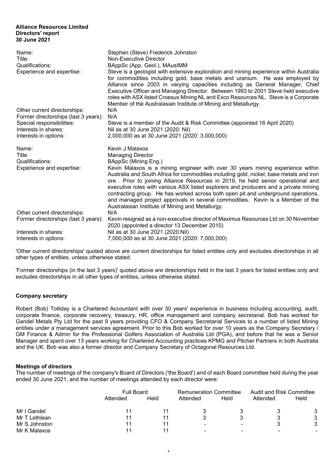| Name:<br>Title:<br>Qualifications:<br>Experience and expertise:                                                    | Stephen (Steve) Frederick Johnston<br>Non-Executive Director<br>BAppSc (App. Geol.), MAusIMM<br>Steve is a geologist with extensive exploration and mining experience within Australia<br>for commodities including gold, base metals and uranium. He was employed by<br>Alliance since 2003 in varying capacities including as General Manager, Chief<br>Executive Officer and Managing Director. Between 1993 to 2001 Steve held executive<br>roles with ASX listed Croesus Mining NL and Exco Resources NL. Steve is a Corporate<br>Member of the Australasian Institute of Mining and Metallurgy. |
|--------------------------------------------------------------------------------------------------------------------|-------------------------------------------------------------------------------------------------------------------------------------------------------------------------------------------------------------------------------------------------------------------------------------------------------------------------------------------------------------------------------------------------------------------------------------------------------------------------------------------------------------------------------------------------------------------------------------------------------|
| Other current directorships:                                                                                       | N/A                                                                                                                                                                                                                                                                                                                                                                                                                                                                                                                                                                                                   |
| Former directorships (last 3 years):<br>Special responsibilities:<br>Interests in shares:<br>Interests in options: | N/A<br>Steve is a member of the Audit & Risk Committee (appointed 16 April 2020)<br>Nil as at 30 June 2021 (2020: Nil)<br>2,000,000 as at 30 June 2021 (2020: 3,000,000)                                                                                                                                                                                                                                                                                                                                                                                                                              |
| Name:<br>Title:<br>Qualifications:                                                                                 | Kevin J Malaxos<br><b>Managing Director</b><br>BAppSc (Mining Eng.)                                                                                                                                                                                                                                                                                                                                                                                                                                                                                                                                   |
| Experience and expertise:<br>Other current directorships:                                                          | Kevin Malaxos is a mining engineer with over 30 years mining experience within<br>Australia and South Africa for commodities including gold, nickel, base metals and iron<br>ore. Prior to joining Alliance Resources in 2019, he held senior operational and<br>executive roles with various ASX listed explorers and producers and a private mining<br>contracting group. He has worked across both open pit and underground operations,<br>and managed project approvals in several commodities. Kevin is a Member of the<br>Australasian Institute of Mining and Metallurgy.<br>N/A               |
| Former directorships (last 3 years):                                                                               | Kevin resigned as a non-executive director of Maximus Resources Ltd on 30 November                                                                                                                                                                                                                                                                                                                                                                                                                                                                                                                    |
|                                                                                                                    | 2020 (appointed a director 13 December 2010)                                                                                                                                                                                                                                                                                                                                                                                                                                                                                                                                                          |
| Interests in shares:                                                                                               | Nil as at 30 June 2021 (2020:Nil)                                                                                                                                                                                                                                                                                                                                                                                                                                                                                                                                                                     |
| Interests in options:                                                                                              | 7,000,000 as at 30 June 2021 (2020: 7,000,000)                                                                                                                                                                                                                                                                                                                                                                                                                                                                                                                                                        |

'Other current directorships' quoted above are current directorships for listed entities only and excludes directorships in all other types of entities, unless otherwise stated.

'Former directorships (in the last 3 years)' quoted above are directorships held in the last 3 years for listed entities only and excludes directorships in all other types of entities, unless otherwise stated.

#### **Company secretary**

Robert (Bob) Tolliday is a Chartered Accountant with over 30 years' experience in business including accounting, audit, corporate finance, corporate recovery, treasury, HR, office management and company secretarial. Bob has worked for Gandel Metals Pty Ltd for the past 9 years providing CFO & Company Secretarial Services to a number of listed Mining entities under a management services agreement. Prior to this Bob worked for over 10 years as the Company Secretary / GM Finance & Admin for the Professional Golfers Association of Australia Ltd (PGA), and before that he was a Senior Manager and spent over 13 years working for Chartered Accounting practices KPMG and Pitcher Partners in both Australia and the UK. Bob was also a former director and Company Secretary of Octagonal Resources Ltd.

## **Meetings of directors**

The number of meetings of the company's Board of Directors ('the Board') and of each Board committee held during the year ended 30 June 2021, and the number of meetings attended by each director were:

|               |          | <b>Full Board</b> |                          | <b>Remuneration Committee</b> |          | Audit and Risk Committee |  |
|---------------|----------|-------------------|--------------------------|-------------------------------|----------|--------------------------|--|
|               | Attended | Held              | Attended                 | Held                          | Attended | Held                     |  |
| Mr I Gandel   |          |                   |                          |                               |          |                          |  |
| Mr T Lethlean |          |                   |                          |                               |          | 3                        |  |
| Mr S Johnston |          |                   | $\overline{\phantom{0}}$ |                               |          | 3                        |  |
| Mr K Malaxos  |          |                   | $\overline{\phantom{0}}$ |                               |          |                          |  |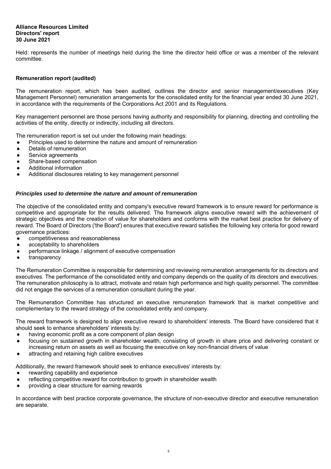Held: represents the number of meetings held during the time the director held office or was a member of the relevant committee.

## **Remuneration report (audited)**

The remuneration report, which has been audited, outlines the director and senior management/executives (Key Management Personnel) remuneration arrangements for the consolidated entity for the financial year ended 30 June 2021, in accordance with the requirements of the Corporations Act 2001 and its Regulations.

Key management personnel are those persons having authority and responsibility for planning, directing and controlling the activities of the entity, directly or indirectly, including all directors.

The remuneration report is set out under the following main headings:

- Principles used to determine the nature and amount of remuneration
- Details of remuneration
- Service agreements
- Share-based compensation
- Additional information
- Additional disclosures relating to key management personnel

#### *Principles used to determine the nature and amount of remuneration*

The objective of the consolidated entity and company's executive reward framework is to ensure reward for performance is competitive and appropriate for the results delivered. The framework aligns executive reward with the achievement of strategic objectives and the creation of value for shareholders and conforms with the market best practice for delivery of reward. The Board of Directors ('the Board') ensures that executive reward satisfies the following key criteria for good reward governance practices:

- competitiveness and reasonableness
- acceptability to shareholders
- performance linkage / alignment of executive compensation
- transparency

The Remuneration Committee is responsible for determining and reviewing remuneration arrangements for its directors and executives. The performance of the consolidated entity and company depends on the quality of its directors and executives. The remuneration philosophy is to attract, motivate and retain high performance and high quality personnel. The committee did not engage the services of a remuneration consultant during the year.

The Remuneration Committee has structured an executive remuneration framework that is market competitive and complementary to the reward strategy of the consolidated entity and company.

The reward framework is designed to align executive reward to shareholders' interests. The Board have considered that it should seek to enhance shareholders' interests by:

- having economic profit as a core component of plan design
- focusing on sustained growth in shareholder wealth, consisting of growth in share price and delivering constant or increasing return on assets as well as focusing the executive on key non-financial drivers of value
- attracting and retaining high calibre executives

Additionally, the reward framework should seek to enhance executives' interests by:

- rewarding capability and experience
- reflecting competitive reward for contribution to growth in shareholder wealth
- providing a clear structure for earning rewards

In accordance with best practice corporate governance, the structure of non-executive director and executive remuneration are separate.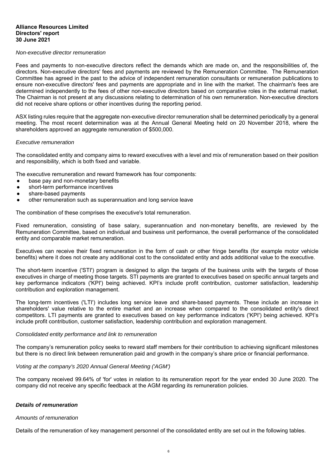#### *Non-executive director remuneration*

Fees and payments to non-executive directors reflect the demands which are made on, and the responsibilities of, the directors. Non-executive directors' fees and payments are reviewed by the Remuneration Committee. The Remuneration Committee has agreed in the past to the advice of independent remuneration consultants or remuneration publications to ensure non-executive directors' fees and payments are appropriate and in line with the market. The chairman's fees are determined independently to the fees of other non-executive directors based on comparative roles in the external market. The Chairman is not present at any discussions relating to determination of his own remuneration. Non-executive directors did not receive share options or other incentives during the reporting period.

ASX listing rules require that the aggregate non-executive director remuneration shall be determined periodically by a general meeting. The most recent determination was at the Annual General Meeting held on 20 November 2018, where the shareholders approved an aggregate remuneration of \$500,000.

#### *Executive remuneration*

The consolidated entity and company aims to reward executives with a level and mix of remuneration based on their position and responsibility, which is both fixed and variable.

The executive remuneration and reward framework has four components:

- base pay and non-monetary benefits
- short-term performance incentives
- share-based payments
- other remuneration such as superannuation and long service leave

The combination of these comprises the executive's total remuneration.

Fixed remuneration, consisting of base salary, superannuation and non-monetary benefits, are reviewed by the Remuneration Committee, based on individual and business unit performance, the overall performance of the consolidated entity and comparable market remuneration.

Executives can receive their fixed remuneration in the form of cash or other fringe benefits (for example motor vehicle benefits) where it does not create any additional cost to the consolidated entity and adds additional value to the executive.

The short-term incentive ('STI') program is designed to align the targets of the business units with the targets of those executives in charge of meeting those targets. STI payments are granted to executives based on specific annual targets and key performance indicators ('KPI') being achieved. KPI's include profit contribution, customer satisfaction, leadership contribution and exploration management.

The long-term incentives ('LTI') includes long service leave and share-based payments. These include an increase in shareholders' value relative to the entire market and an increase when compared to the consolidated entity's direct competitors. LTI payments are granted to executives based on key performance indicators ('KPI') being achieved. KPI's include profit contribution, customer satisfaction, leadership contribution and exploration management.

#### *Consolidated entity performance and link to remuneration*

The company's remuneration policy seeks to reward staff members for their contribution to achieving significant milestones but there is no direct link between remuneration paid and growth in the company's share price or financial performance.

#### *Voting at the company's 2020 Annual General Meeting ('AGM')*

The company received 99.64% of 'for' votes in relation to its remuneration report for the year ended 30 June 2020. The company did not receive any specific feedback at the AGM regarding its remuneration policies.

#### *Details of remuneration*

#### *Amounts of remuneration*

Details of the remuneration of key management personnel of the consolidated entity are set out in the following tables.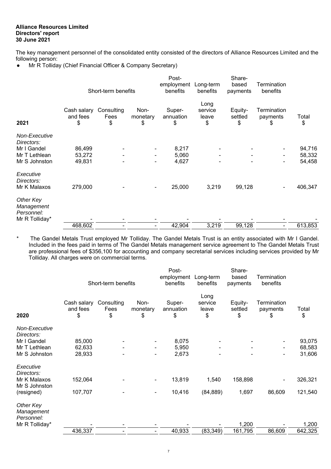The key management personnel of the consolidated entity consisted of the directors of Alliance Resources Limited and the following person:

● Mr R Tolliday (Chief Financial Officer & Company Secretary)

|                                                                              |                               | Short-term benefits      |                        | Post-<br>employment<br>benefits | Long-term<br>benefits          | Share-<br>based<br>payments | Termination<br>benefits       |                            |
|------------------------------------------------------------------------------|-------------------------------|--------------------------|------------------------|---------------------------------|--------------------------------|-----------------------------|-------------------------------|----------------------------|
| 2021                                                                         | Cash salary<br>and fees<br>\$ | Consulting<br>Fees<br>\$ | Non-<br>monetary<br>\$ | Super-<br>annuation<br>\$       | Long<br>service<br>leave<br>\$ | Equity-<br>settled<br>\$    | Termination<br>payments<br>\$ | Total<br>\$                |
| Non-Executive<br>Directors:<br>Mr I Gandel<br>Mr T Lethlean<br>Mr S Johnston | 86,499<br>53,272<br>49,831    |                          |                        | 8,217<br>5,060<br>4,627         |                                |                             | $\blacksquare$                | 94,716<br>58,332<br>54,458 |
| Executive<br>Directors:<br>Mr K Malaxos                                      | 279,000                       |                          |                        | 25,000                          | 3,219                          | 99,128                      |                               | 406,347                    |
| Other Key<br>Management<br>Personnel:<br>Mr R Tolliday*                      |                               |                          |                        |                                 |                                |                             |                               |                            |
|                                                                              | 468,602                       |                          |                        | 42,904                          | 3,219                          | 99,128                      | -                             | 613,853                    |

\* The Gandel Metals Trust employed Mr Tolliday. The Gandel Metals Trust is an entity associated with Mr I Gandel. Included in the fees paid in terms of The Gandel Metals management service agreement to The Gandel Metals Trust are professional fees of \$356,100 for accounting and company secretarial services including services provided by Mr Tolliday. All charges were on commercial terms.

|                                       |                               | Short-term benefits      |                          | Post-<br>employment<br>benefits | Long-term<br>benefits          | Share-<br>based<br>payments | Termination<br>benefits       |             |
|---------------------------------------|-------------------------------|--------------------------|--------------------------|---------------------------------|--------------------------------|-----------------------------|-------------------------------|-------------|
| 2020                                  | Cash salary<br>and fees<br>\$ | Consulting<br>Fees<br>\$ | Non-<br>monetary<br>\$   | Super-<br>annuation<br>\$       | Long<br>service<br>leave<br>\$ | Equity-<br>settled<br>\$    | Termination<br>payments<br>\$ | Total<br>\$ |
| Non-Executive<br>Directors:           |                               |                          |                          |                                 |                                |                             |                               |             |
| Mr I Gandel                           | 85,000                        |                          |                          | 8,075                           |                                |                             |                               | 93,075      |
| Mr T Lethlean                         | 62,633                        |                          |                          | 5,950                           |                                |                             |                               | 68,583      |
| Mr S Johnston                         | 28,933                        |                          | ٠                        | 2,673                           |                                |                             | Ξ.                            | 31,606      |
| Executive<br>Directors:               |                               |                          |                          |                                 |                                |                             |                               |             |
| Mr K Malaxos<br>Mr S Johnston         | 152,064                       |                          |                          | 13,819                          | 1,540                          | 158,898                     |                               | 326,321     |
| (resigned)                            | 107,707                       |                          | $\overline{\phantom{a}}$ | 10,416                          | (84, 889)                      | 1,697                       | 86,609                        | 121,540     |
| Other Key<br>Management<br>Personnel: |                               |                          |                          |                                 |                                |                             |                               |             |
| Mr R Tolliday*                        |                               |                          |                          |                                 |                                | 1,200                       |                               | 1,200       |
|                                       | 436,337                       |                          | -                        | 40,933                          | (83, 349)                      | 161,795                     | 86,609                        | 642,325     |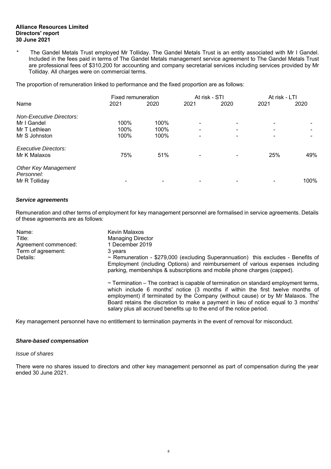\* The Gandel Metals Trust employed Mr Tolliday. The Gandel Metals Trust is an entity associated with Mr I Gandel. Included in the fees paid in terms of The Gandel Metals management service agreement to The Gandel Metals Trust are professional fees of \$310,200 for accounting and company secretarial services including services provided by Mr Tolliday. All charges were on commercial terms.

The proportion of remuneration linked to performance and the fixed proportion are as follows:

|                                             |      | Fixed remuneration |                          | At risk - STI            |      | At risk - LTI |
|---------------------------------------------|------|--------------------|--------------------------|--------------------------|------|---------------|
| Name                                        | 2021 | 2020               | 2021                     | 2020                     | 2021 | 2020          |
| <b>Non-Executive Directors:</b>             |      |                    |                          |                          |      |               |
| Mr I Gandel                                 | 100% | 100%               |                          |                          |      |               |
| Mr T Lethlean                               | 100% | 100%               | $\overline{\phantom{0}}$ | $\overline{\phantom{0}}$ |      |               |
| Mr S Johnston                               | 100% | 100%               |                          |                          |      |               |
| <b>Executive Directors:</b><br>Mr K Malaxos | 75%  | 51%                |                          |                          | 25%  | 49%           |
| <b>Other Key Management</b><br>Personnel:   |      |                    |                          |                          |      |               |
| Mr R Tolliday                               |      |                    |                          |                          |      | 100%          |

#### *Service agreements*

Remuneration and other terms of employment for key management personnel are formalised in service agreements. Details of these agreements are as follows:

| Name:                | Kevin Malaxos                                                                                                                                                                                                                                                                                                                                       |
|----------------------|-----------------------------------------------------------------------------------------------------------------------------------------------------------------------------------------------------------------------------------------------------------------------------------------------------------------------------------------------------|
| Title:               | <b>Managing Director</b>                                                                                                                                                                                                                                                                                                                            |
| Agreement commenced: | 1 December 2019                                                                                                                                                                                                                                                                                                                                     |
| Term of agreement:   | 3 years                                                                                                                                                                                                                                                                                                                                             |
| Details:             | $\sim$ Remuneration - \$279,000 (excluding Superannuation) this excludes - Benefits of<br>Employment (including Options) and reimbursement of various expenses including<br>parking, memberships & subscriptions and mobile phone charges (capped).                                                                                                 |
|                      | $\sim$ Termination – The contract is capable of termination on standard employment terms,<br>which include 6 months' notice (3 months if within the first twelve months of<br>employment) if terminated by the Company (without cause) or by Mr Malaxos. The<br>Board retains the discretion to make a payment in lieu of notice equal to 3 months' |

salary plus all accrued benefits up to the end of the notice period.

Key management personnel have no entitlement to termination payments in the event of removal for misconduct.

#### *Share-based compensation*

#### *Issue of shares*

There were no shares issued to directors and other key management personnel as part of compensation during the year ended 30 June 2021.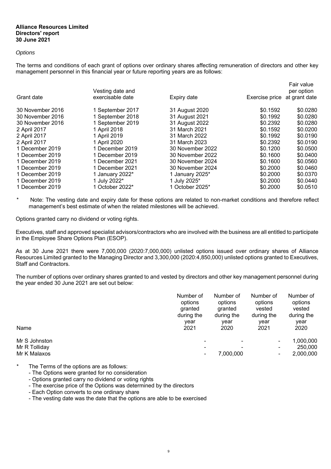#### *Options*

The terms and conditions of each grant of options over ordinary shares affecting remuneration of directors and other key management personnel in this financial year or future reporting years are as follows:

|                  | Vesting date and |                  |                | Fair value<br>per option |
|------------------|------------------|------------------|----------------|--------------------------|
| Grant date       | exercisable date | Expiry date      | Exercise price | at grant date            |
| 30 November 2016 | 1 September 2017 | 31 August 2020   | \$0.1592       | \$0.0280                 |
| 30 November 2016 | 1 September 2018 | 31 August 2021   | \$0.1992       | \$0.0280                 |
| 30 November 2016 | 1 September 2019 | 31 August 2022   | \$0.2392       | \$0.0280                 |
| 2 April 2017     | 1 April 2018     | 31 March 2021    | \$0.1592       | \$0.0200                 |
| 2 April 2017     | 1 April 2019     | 31 March 2022    | \$0.1992       | \$0.0190                 |
| 2 April 2017     | 1 April 2020     | 31 March 2023    | \$0.2392       | \$0.0190                 |
| 1 December 2019  | 1 December 2019  | 30 November 2022 | \$0.1200       | \$0.0500                 |
| 1 December 2019  | 1 December 2019  | 30 November 2022 | \$0.1600       | \$0.0400                 |
| 1 December 2019  | 1 December 2021  | 30 November 2024 | \$0.1600       | \$0.0560                 |
| 1 December 2019  | 1 December 2021  | 30 November 2024 | \$0,2000       | \$0.0460                 |
| 1 December 2019  | 1 January 2022*  | 1 January 2025*  | \$0.2000       | \$0.0370                 |
| 1 December 2019  | 1 July 2022*     | 1 July 2025*     | \$0.2000       | \$0.0440                 |
| 1 December 2019  | 1 October 2022*  | 1 October 2025*  | \$0,2000       | \$0.0510                 |

Note: The vesting date and expiry date for these options are related to non-market conditions and therefore reflect management's best estimate of when the related milestones will be achieved.

Options granted carry no dividend or voting rights.

Executives, staff and approved specialist advisors/contractors who are involved with the business are all entitled to participate in the Employee Share Options Plan (ESOP).

As at 30 June 2021 there were 7,000,000 (2020:7,000,000) unlisted options issued over ordinary shares of Alliance Resources Limited granted to the Managing Director and 3,300,000 (2020:4,850,000) unlisted options granted to Executives, Staff and Contractors.

The number of options over ordinary shares granted to and vested by directors and other key management personnel during the year ended 30 June 2021 are set out below:

| Name                                           | Number of  | Number of  | Number of           | Number of                         |
|------------------------------------------------|------------|------------|---------------------|-----------------------------------|
|                                                | options    | options    | options             | options                           |
|                                                | granted    | granted    | vested              | vested                            |
|                                                | during the | during the | during the          | during the                        |
|                                                | year       | year       | year                | year                              |
|                                                | 2021       | 2020       | 2021                | 2020                              |
| Mr S Johnston<br>Mr R Tolliday<br>Mr K Malaxos |            | 7,000,000  | $\blacksquare$<br>- | 1,000,000<br>250,000<br>2,000,000 |

- The Terms of the options are as follows:
	- The Options were granted for no consideration
	- Options granted carry no dividend or voting rights
	- The exercise price of the Options was determined by the directors
	- Each Option converts to one ordinary share
	- The vesting date was the date that the options are able to be exercised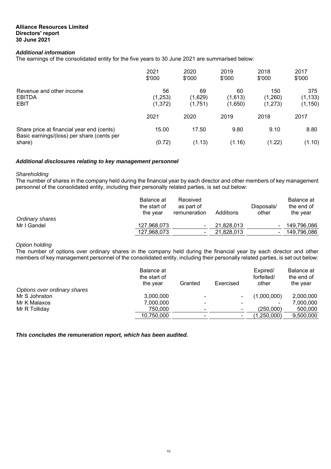#### *Additional information*

The earnings of the consolidated entity for the five years to 30 June 2021 are summarised below:

|                                                                                         | 2021<br>\$'000            | 2020<br>\$'000           | 2019<br>\$'000           | 2018<br>\$'000            | 2017<br>\$'000              |
|-----------------------------------------------------------------------------------------|---------------------------|--------------------------|--------------------------|---------------------------|-----------------------------|
| Revenue and other income<br><b>EBITDA</b><br><b>EBIT</b>                                | 56<br>(1,253)<br>(1, 372) | 69<br>(1,629)<br>(1,751) | 60<br>(1,613)<br>(1,650) | 150<br>(1,260)<br>(1,273) | 375<br>(1, 133)<br>(1, 150) |
|                                                                                         | 2021                      | 2020                     | 2019                     | 2018                      | 2017                        |
| Share price at financial year end (cents)<br>Basic earnings/(loss) per share (cents per | 15.00                     | 17.50                    | 9.80                     | 9.10                      | 8.80                        |
| share)                                                                                  | (0.72)                    | (1.13)                   | (1.16)                   | (1.22)                    | (1.10)                      |

#### *Additional disclosures relating to key management personnel*

#### *Shareholding*

The number of shares in the company held during the financial year by each director and other members of key management personnel of the consolidated entity, including their personally related parties, is set out below:

|                 | Balance at<br>the start of<br>the vear | Received<br>as part of<br>remuneration | Additions  | Disposals/<br>other | Balance at<br>the end of<br>the vear |
|-----------------|----------------------------------------|----------------------------------------|------------|---------------------|--------------------------------------|
| Ordinary shares |                                        |                                        |            |                     |                                      |
| Mr I Gandel     | 127,968,073                            | ۰                                      | 21,828,013 |                     | 149.796.086                          |
|                 | 127,968,073                            | $\blacksquare$                         | 21.828.013 |                     | 149,796,086                          |

#### *Option holding*

The number of options over ordinary shares in the company held during the financial year by each director and other members of key management personnel of the consolidated entity, including their personally related parties, is set out below:

|                              | Balance at<br>the start of<br>the year | Granted                  | Exercised | Expired/<br>forfeited/<br>other | Balance at<br>the end of<br>the year |
|------------------------------|----------------------------------------|--------------------------|-----------|---------------------------------|--------------------------------------|
| Options over ordinary shares |                                        |                          |           |                                 |                                      |
| Mr S Johnston                | 3,000,000                              | $\blacksquare$           |           | (1,000,000)                     | 2,000,000                            |
| Mr K Malaxos                 | 7,000,000                              | $\blacksquare$           |           |                                 | 7.000.000                            |
| Mr R Tolliday                | 750,000                                | $\overline{\phantom{0}}$ |           | (250.000)                       | 500,000                              |
|                              | 10,750,000                             |                          |           | (1,250,000)                     | 9,500,000                            |
|                              |                                        |                          |           |                                 |                                      |

*This concludes the remuneration report, which has been audited.*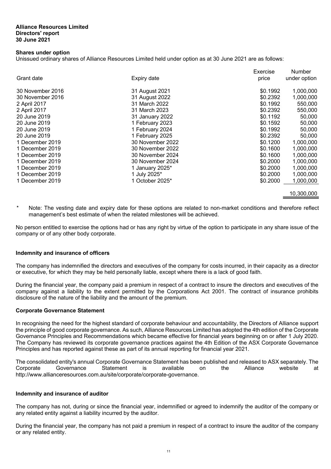#### **Shares under option**

Unissued ordinary shares of Alliance Resources Limited held under option as at 30 June 2021 are as follows:

|                  |                  | Exercise | Number       |
|------------------|------------------|----------|--------------|
| Grant date       | Expiry date      | price    | under option |
| 30 November 2016 | 31 August 2021   | \$0.1992 | 1,000,000    |
| 30 November 2016 | 31 August 2022   | \$0.2392 | 1,000,000    |
| 2 April 2017     | 31 March 2022    | \$0.1992 | 550,000      |
| 2 April 2017     | 31 March 2023    | \$0.2392 | 550,000      |
| 20 June 2019     | 31 January 2022  | \$0.1192 | 50,000       |
| 20 June 2019     | 1 February 2023  | \$0.1592 | 50,000       |
| 20 June 2019     | 1 February 2024  | \$0.1992 | 50,000       |
| 20 June 2019     | 1 February 2025  | \$0.2392 | 50,000       |
| 1 December 2019  | 30 November 2022 | \$0.1200 | 1,000,000    |
| 1 December 2019  | 30 November 2022 | \$0.1600 | 1,000,000    |
| 1 December 2019  | 30 November 2024 | \$0.1600 | 1,000,000    |
| 1 December 2019  | 30 November 2024 | \$0.2000 | 1,000,000    |
| 1 December 2019  | 1 January 2025*  | \$0.2000 | 1,000,000    |
| 1 December 2019  | 1 July 2025*     | \$0.2000 | 1,000,000    |
| 1 December 2019  | 1 October 2025*  | \$0.2000 | 1,000,000    |
|                  |                  |          |              |

#### 10,300,000

\* Note: The vesting date and expiry date for these options are related to non-market conditions and therefore reflect management's best estimate of when the related milestones will be achieved.

No person entitled to exercise the options had or has any right by virtue of the option to participate in any share issue of the company or of any other body corporate.

#### **Indemnity and insurance of officers**

The company has indemnified the directors and executives of the company for costs incurred, in their capacity as a director or executive, for which they may be held personally liable, except where there is a lack of good faith.

During the financial year, the company paid a premium in respect of a contract to insure the directors and executives of the company against a liability to the extent permitted by the Corporations Act 2001. The contract of insurance prohibits disclosure of the nature of the liability and the amount of the premium.

#### **Corporate Governance Statement**

In recognising the need for the highest standard of corporate behaviour and accountability, the Directors of Alliance support the principle of good corporate governance. As such, Alliance Resources Limited has adopted the 4th edition of the Corporate Governance Principles and Recommendations which became effective for financial years beginning on or after 1 July 2020. The Company has reviewed its corporate governance practices against the 4th Edition of the ASX Corporate Governance Principles and has reported against these as part of its annual reporting for financial year 2021.

The consolidated entity's annual Corporate Governance Statement has been published and released to ASX separately. The<br>Corporate Governance Statement is available on the Alliance website at Corporate Governance Statement is available on the Alliance website at http://www.allianceresources.com.au/site/corporate/corporate-governance.

#### **Indemnity and insurance of auditor**

The company has not, during or since the financial year, indemnified or agreed to indemnify the auditor of the company or any related entity against a liability incurred by the auditor.

During the financial year, the company has not paid a premium in respect of a contract to insure the auditor of the company or any related entity.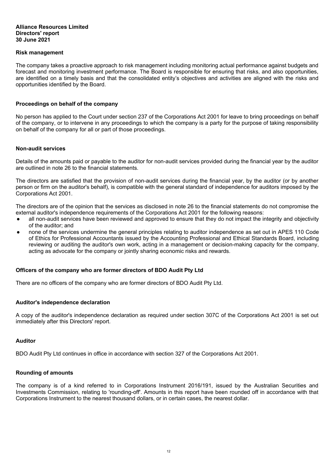#### **Risk management**

The company takes a proactive approach to risk management including monitoring actual performance against budgets and forecast and monitoring investment performance. The Board is responsible for ensuring that risks, and also opportunities, are identified on a timely basis and that the consolidated entity's objectives and activities are aligned with the risks and opportunities identified by the Board.

#### **Proceedings on behalf of the company**

No person has applied to the Court under section 237 of the Corporations Act 2001 for leave to bring proceedings on behalf of the company, or to intervene in any proceedings to which the company is a party for the purpose of taking responsibility on behalf of the company for all or part of those proceedings.

#### **Non-audit services**

Details of the amounts paid or payable to the auditor for non-audit services provided during the financial year by the auditor are outlined in note 26 to the financial statements.

The directors are satisfied that the provision of non-audit services during the financial year, by the auditor (or by another person or firm on the auditor's behalf), is compatible with the general standard of independence for auditors imposed by the Corporations Act 2001.

The directors are of the opinion that the services as disclosed in note 26 to the financial statements do not compromise the external auditor's independence requirements of the Corporations Act 2001 for the following reasons:

- all non-audit services have been reviewed and approved to ensure that they do not impact the integrity and objectivity of the auditor; and
- none of the services undermine the general principles relating to auditor independence as set out in APES 110 Code of Ethics for Professional Accountants issued by the Accounting Professional and Ethical Standards Board, including reviewing or auditing the auditor's own work, acting in a management or decision-making capacity for the company, acting as advocate for the company or jointly sharing economic risks and rewards.

#### **Officers of the company who are former directors of BDO Audit Pty Ltd**

There are no officers of the company who are former directors of BDO Audit Pty Ltd.

#### **Auditor's independence declaration**

A copy of the auditor's independence declaration as required under section 307C of the Corporations Act 2001 is set out immediately after this Directors' report.

#### **Auditor**

BDO Audit Pty Ltd continues in office in accordance with section 327 of the Corporations Act 2001.

#### **Rounding of amounts**

The company is of a kind referred to in Corporations Instrument 2016/191, issued by the Australian Securities and Investments Commission, relating to 'rounding-off'. Amounts in this report have been rounded off in accordance with that Corporations Instrument to the nearest thousand dollars, or in certain cases, the nearest dollar.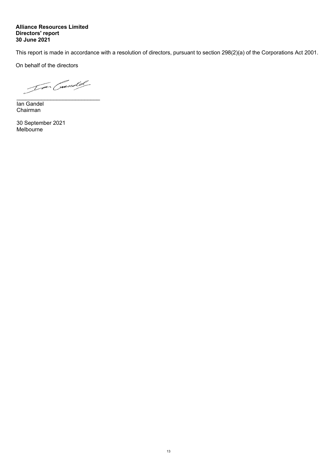This report is made in accordance with a resolution of directors, pursuant to section 298(2)(a) of the Corporations Act 2001.

On behalf of the directors

Var Crendel

Ian Gandel Chairman

30 September 2021 Melbourne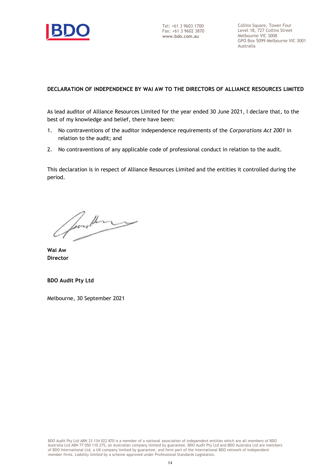

Collins Square, Tower Four Level 18, 727 Collins Street Melbourne VIC 3008 GPO Box 5099 Melbourne VIC 3001 Australia

# **DECLARATION OF INDEPENDENCE BY WAI AW TO THE DIRECTORS OF ALLIANCE RESOURCES LIMITED**

As lead auditor of Alliance Resources Limited for the year ended 30 June 2021, I declare that, to the best of my knowledge and belief, there have been:

- 1. No contraventions of the auditor independence requirements of the *Corporations Act 2001* in relation to the audit; and
- 2. No contraventions of any applicable code of professional conduct in relation to the audit.

This declaration is in respect of Alliance Resources Limited and the entities it controlled during the period.

fortherne

**Wai Aw Director**

**BDO Audit Pty Ltd**

Melbourne, 30 September 2021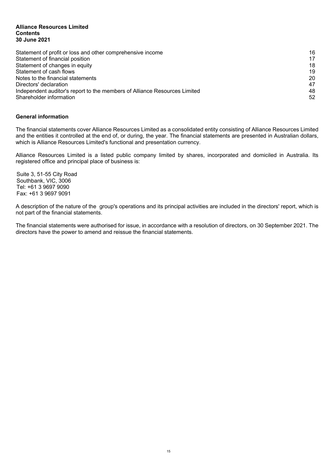#### **Alliance Resources Limited Contents 30 June 2021**

| Statement of profit or loss and other comprehensive income                | 16 |
|---------------------------------------------------------------------------|----|
| Statement of financial position                                           | 17 |
| Statement of changes in equity                                            | 18 |
| Statement of cash flows                                                   | 19 |
| Notes to the financial statements                                         | 20 |
| Directors' declaration                                                    | 47 |
| Independent auditor's report to the members of Alliance Resources Limited | 48 |
| Shareholder information                                                   | 52 |

## **General information**

The financial statements cover Alliance Resources Limited as a consolidated entity consisting of Alliance Resources Limited and the entities it controlled at the end of, or during, the year. The financial statements are presented in Australian dollars, which is Alliance Resources Limited's functional and presentation currency.

Alliance Resources Limited is a listed public company limited by shares, incorporated and domiciled in Australia. Its registered office and principal place of business is:

Suite 3, 51-55 City Road Southbank, VIC, 3006 Tel: +61 3 9697 9090 Fax: +61 3 9697 9091

A description of the nature of the group's operations and its principal activities are included in the directors' report, which is not part of the financial statements.

The financial statements were authorised for issue, in accordance with a resolution of directors, on 30 September 2021. The directors have the power to amend and reissue the financial statements.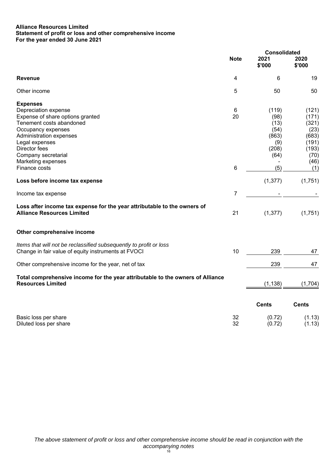## **Alliance Resources Limited Statement of profit or loss and other comprehensive income For the year ended 30 June 2021**

|                                                                                                                                                                                                                                                           |              | <b>Consolidated</b>                                                   |                                                                                   |
|-----------------------------------------------------------------------------------------------------------------------------------------------------------------------------------------------------------------------------------------------------------|--------------|-----------------------------------------------------------------------|-----------------------------------------------------------------------------------|
|                                                                                                                                                                                                                                                           | <b>Note</b>  | 2021<br>\$'000                                                        | 2020<br>\$'000                                                                    |
| <b>Revenue</b>                                                                                                                                                                                                                                            | 4            | 6                                                                     | 19                                                                                |
| Other income                                                                                                                                                                                                                                              | 5            | 50                                                                    | 50                                                                                |
| <b>Expenses</b><br>Depreciation expense<br>Expense of share options granted<br>Tenement costs abandoned<br>Occupancy expenses<br>Administration expenses<br>Legal expenses<br>Director fees<br>Company secretarial<br>Marketing expenses<br>Finance costs | 6<br>20<br>6 | (119)<br>(98)<br>(13)<br>(54)<br>(863)<br>(9)<br>(208)<br>(64)<br>(5) | (121)<br>(171)<br>(321)<br>(23)<br>(683)<br>(191)<br>(193)<br>(70)<br>(46)<br>(1) |
| Loss before income tax expense                                                                                                                                                                                                                            |              | (1, 377)                                                              | (1,751)                                                                           |
| Income tax expense                                                                                                                                                                                                                                        | 7            |                                                                       |                                                                                   |
| Loss after income tax expense for the year attributable to the owners of<br><b>Alliance Resources Limited</b>                                                                                                                                             | 21           | (1, 377)                                                              | (1,751)                                                                           |
| Other comprehensive income                                                                                                                                                                                                                                |              |                                                                       |                                                                                   |
| Items that will not be reclassified subsequently to profit or loss<br>Change in fair value of equity instruments at FVOCI                                                                                                                                 | 10           | 239                                                                   | 47                                                                                |
| Other comprehensive income for the year, net of tax                                                                                                                                                                                                       |              | 239                                                                   | 47                                                                                |
| Total comprehensive income for the year attributable to the owners of Alliance<br><b>Resources Limited</b>                                                                                                                                                |              | (1, 138)                                                              | (1,704)                                                                           |
|                                                                                                                                                                                                                                                           |              | <b>Cents</b>                                                          | <b>Cents</b>                                                                      |
| Basic loss per share<br>Diluted loss per share                                                                                                                                                                                                            | 32<br>32     | (0.72)<br>(0.72)                                                      | (1.13)<br>(1.13)                                                                  |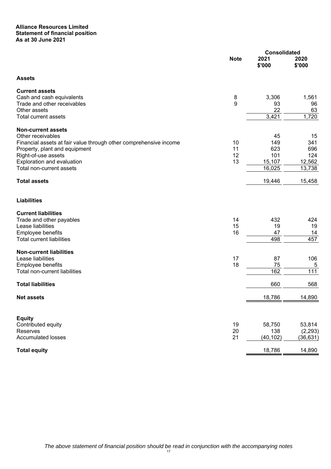## **Alliance Resources Limited Statement of financial position As at 30 June 2021**

|                                                                   |             | <b>Consolidated</b> |                |
|-------------------------------------------------------------------|-------------|---------------------|----------------|
|                                                                   | <b>Note</b> | 2021<br>\$'000      | 2020<br>\$'000 |
| <b>Assets</b>                                                     |             |                     |                |
| <b>Current assets</b>                                             |             |                     |                |
| Cash and cash equivalents                                         | 8           | 3,306               | 1,561          |
| Trade and other receivables                                       | 9           | 93                  | 96             |
| Other assets                                                      |             | 22                  | 63             |
| <b>Total current assets</b>                                       |             | 3,421               | 1,720          |
| <b>Non-current assets</b>                                         |             |                     |                |
| Other receivables                                                 |             | 45                  | 15             |
| Financial assets at fair value through other comprehensive income | 10          | 149                 | 341            |
| Property, plant and equipment                                     | 11          | 623                 | 696            |
| Right-of-use assets                                               | 12          | 101                 | 124            |
| Exploration and evaluation                                        | 13          | 15,107              | 12,562         |
| Total non-current assets                                          |             | 16,025              | 13,738         |
| <b>Total assets</b>                                               |             | 19,446              | 15,458         |
| <b>Liabilities</b>                                                |             |                     |                |
| <b>Current liabilities</b>                                        |             |                     |                |
| Trade and other payables                                          | 14          | 432                 | 424            |
| Lease liabilities                                                 | 15          | 19                  | 19             |
| Employee benefits                                                 | 16          | 47                  | 14             |
| <b>Total current liabilities</b>                                  |             | 498                 | 457            |
| <b>Non-current liabilities</b>                                    |             |                     |                |
| Lease liabilities                                                 | 17          | 87                  | 106            |
| Employee benefits                                                 | 18          | 75                  | 5              |
| Total non-current liabilities                                     |             | 162                 | 111            |
| <b>Total liabilities</b>                                          |             | 660                 | 568            |
| <b>Net assets</b>                                                 |             | 18,786              | 14,890         |
|                                                                   |             |                     |                |
| <b>Equity</b>                                                     |             |                     |                |
| Contributed equity                                                | 19          | 58,750              | 53,814         |
| Reserves                                                          | 20          | 138                 | (2, 293)       |
| Accumulated losses                                                | 21          | (40, 102)           | (36, 631)      |
| <b>Total equity</b>                                               |             | 18,786              | 14,890         |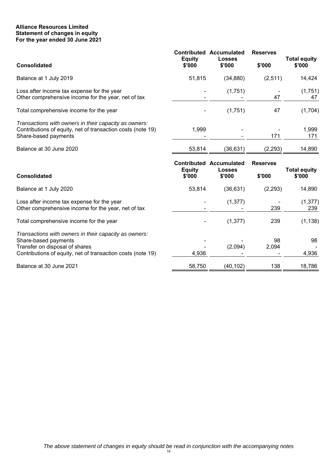## **Alliance Resources Limited Statement of changes in equity For the year ended 30 June 2021**

| <b>Consolidated</b>                                                                                                                                                            | <b>Equity</b><br>\$'000 | <b>Contributed Accumulated</b><br><b>Losses</b><br>\$'000 | <b>Reserves</b><br>\$'000 | <b>Total equity</b><br>\$'000 |
|--------------------------------------------------------------------------------------------------------------------------------------------------------------------------------|-------------------------|-----------------------------------------------------------|---------------------------|-------------------------------|
| Balance at 1 July 2019                                                                                                                                                         | 51,815                  | (34, 880)                                                 | (2,511)                   | 14,424                        |
| Loss after income tax expense for the year<br>Other comprehensive income for the year, net of tax                                                                              |                         | (1,751)                                                   | 47                        | (1,751)<br>47                 |
| Total comprehensive income for the year                                                                                                                                        |                         | (1,751)                                                   | 47                        | (1,704)                       |
| Transactions with owners in their capacity as owners:<br>Contributions of equity, net of transaction costs (note 19)<br>Share-based payments                                   | 1,999                   |                                                           | 171                       | 1,999<br>171                  |
| Balance at 30 June 2020                                                                                                                                                        | 53,814                  | (36, 631)                                                 | (2, 293)                  | 14,890                        |
|                                                                                                                                                                                |                         |                                                           |                           |                               |
| <b>Consolidated</b>                                                                                                                                                            | <b>Equity</b><br>\$'000 | <b>Contributed Accumulated</b><br><b>Losses</b><br>\$'000 | <b>Reserves</b><br>\$'000 | <b>Total equity</b><br>\$'000 |
| Balance at 1 July 2020                                                                                                                                                         | 53,814                  | (36, 631)                                                 | (2, 293)                  | 14,890                        |
| Loss after income tax expense for the year<br>Other comprehensive income for the year, net of tax                                                                              |                         | (1, 377)                                                  | 239                       | (1, 377)<br>239               |
| Total comprehensive income for the year                                                                                                                                        |                         | (1, 377)                                                  | 239                       | (1, 138)                      |
| Transactions with owners in their capacity as owners:<br>Share-based payments<br>Transfer on disposal of shares<br>Contributions of equity, net of transaction costs (note 19) | 4,936                   | (2,094)                                                   | 98<br>2,094               | 98<br>4,936                   |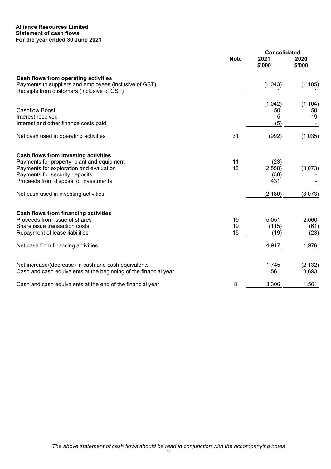## **Alliance Resources Limited Statement of cash flows For the year ended 30 June 2021**

|                                                                                                |             | <b>Consolidated</b> |                |
|------------------------------------------------------------------------------------------------|-------------|---------------------|----------------|
|                                                                                                | <b>Note</b> | 2021<br>\$'000      | 2020<br>\$'000 |
| Cash flows from operating activities<br>Payments to suppliers and employees (inclusive of GST) |             | (1,043)             | (1, 105)       |
| Receipts from customers (inclusive of GST)                                                     |             |                     |                |
|                                                                                                |             | (1,042)             | (1, 104)       |
| <b>Cashflow Boost</b>                                                                          |             | 50                  | 50             |
| Interest received                                                                              |             | 5                   | 19             |
| Interest and other finance costs paid                                                          |             | (5)                 |                |
| Net cash used in operating activities                                                          | 31          | (992)               | (1,035)        |
| Cash flows from investing activities                                                           |             |                     |                |
| Payments for property, plant and equipment                                                     | 11          | (23)                |                |
| Payments for exploration and evaluation<br>Payments for security deposits                      | 13          | (2,558)<br>(30)     | (3,073)        |
| Proceeds from disposal of investments                                                          |             | 431                 |                |
| Net cash used in investing activities                                                          |             | (2, 180)            | (3,073)        |
| <b>Cash flows from financing activities</b>                                                    |             |                     |                |
| Proceeds from issue of shares                                                                  | 19          | 5,051               | 2,060          |
| Share issue transaction costs                                                                  | 19          | (115)               | (61)           |
| Repayment of lease liabilities                                                                 | 15          | (19)                | (23)           |
| Net cash from financing activities                                                             |             | 4,917               | 1,976          |
| Net increase/(decrease) in cash and cash equivalents                                           |             | 1,745               | (2, 132)       |
| Cash and cash equivalents at the beginning of the financial year                               |             | 1,561               | 3,693          |
| Cash and cash equivalents at the end of the financial year                                     | 8           | 3,306               | 1,561          |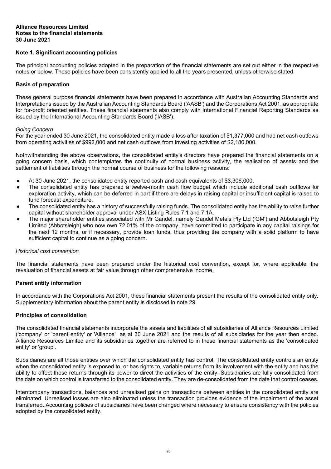#### **Note 1. Significant accounting policies**

The principal accounting policies adopted in the preparation of the financial statements are set out either in the respective notes or below. These policies have been consistently applied to all the years presented, unless otherwise stated.

#### **Basis of preparation**

These general purpose financial statements have been prepared in accordance with Australian Accounting Standards and Interpretations issued by the Australian Accounting Standards Board ('AASB') and the Corporations Act 2001, as appropriate for for-profit oriented entities. These financial statements also comply with International Financial Reporting Standards as issued by the International Accounting Standards Board ('IASB').

#### *Going Concern*

For the year ended 30 June 2021, the consolidated entity made a loss after taxation of \$1,377,000 and had net cash outfows from operating activities of \$992,000 and net cash outflows from investing activities of \$2,180,000.

Nothwithstanding the above observations, the consolidated entity's directors have prepared the financial statements on a going concern basis, which contemplates the continuity of normal business activity, the realisation of assets and the settlement of liabilities through the normal course of business for the following reasons:

- At 30 June 2021, the consolidated entity reported cash and cash equivalents of \$3,306,000.
- The consolidated entity has prepared a twelve-month cash flow budget which include additional cash outflows for exploration activity, which can be deferred in part if there are delays in raising capital or insufficient capital is raised to fund forecast expenditure.
- The consolidated entity has a history of successfully raising funds. The consolidated entity has the ability to raise further capital without shareholder approval under ASX Listing Rules 7.1 and 7.1A.
- The major shareholder entities associated with Mr Gandel, namely Gandel Metals Pty Ltd ('GM') and Abbotsleigh Pty Limited (Abbotsleigh) who now own 72.01% of the company, have committed to participate in any capital raisings for the next 12 months, or if necessary, provide loan funds, thus providing the company with a solid platform to have sufficient capital to continue as a going concern.

#### *Historical cost convention*

The financial statements have been prepared under the historical cost convention, except for, where applicable, the revaluation of financial assets at fair value through other comprehensive income.

#### **Parent entity information**

In accordance with the Corporations Act 2001, these financial statements present the results of the consolidated entity only. Supplementary information about the parent entity is disclosed in note 29.

#### **Principles of consolidation**

The consolidated financial statements incorporate the assets and liabilities of all subsidiaries of Alliance Resources Limited ('company' or 'parent entity' or 'Alliance' as at 30 June 2021 and the results of all subsidiaries for the year then ended. Alliance Resources Limited and its subsidiaries together are referred to in these financial statements as the 'consolidated entity' or 'group'.

Subsidiaries are all those entities over which the consolidated entity has control. The consolidated entity controls an entity when the consolidated entity is exposed to, or has rights to, variable returns from its involvement with the entity and has the ability to affect those returns through its power to direct the activities of the entity. Subsidiaries are fully consolidated from the date on which control is transferred to the consolidated entity. They are de-consolidated from the date that control ceases.

Intercompany transactions, balances and unrealised gains on transactions between entities in the consolidated entity are eliminated. Unrealised losses are also eliminated unless the transaction provides evidence of the impairment of the asset transferred. Accounting policies of subsidiaries have been changed where necessary to ensure consistency with the policies adopted by the consolidated entity.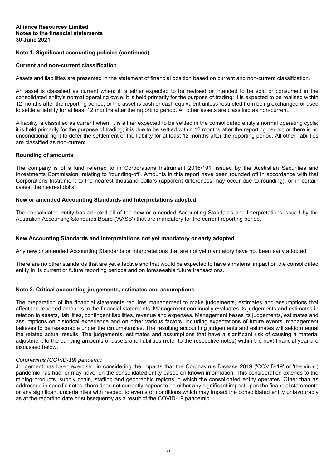## **Note 1. Significant accounting policies (continued)**

#### **Current and non-current classification**

Assets and liabilities are presented in the statement of financial position based on current and non-current classification.

An asset is classified as current when: it is either expected to be realised or intended to be sold or consumed in the consolidated entity's normal operating cycle; it is held primarily for the purpose of trading; it is expected to be realised within 12 months after the reporting period; or the asset is cash or cash equivalent unless restricted from being exchanged or used to settle a liability for at least 12 months after the reporting period. All other assets are classified as non-current.

A liability is classified as current when: it is either expected to be settled in the consolidated entity's normal operating cycle; it is held primarily for the purpose of trading; it is due to be settled within 12 months after the reporting period; or there is no unconditional right to defer the settlement of the liability for at least 12 months after the reporting period. All other liabilities are classified as non-current.

## **Rounding of amounts**

The company is of a kind referred to in Corporations Instrument 2016/191, issued by the Australian Securities and Investments Commission, relating to 'rounding-off'. Amounts in this report have been rounded off in accordance with that Corporations Instrument to the nearest thousand dollars (apparent differences may occur due to rounding), or in certain cases, the nearest dollar.

## **New or amended Accounting Standards and Interpretations adopted**

The consolidated entity has adopted all of the new or amended Accounting Standards and Interpretations issued by the Australian Accounting Standards Board ('AASB') that are mandatory for the current reporting period.

## **New Accounting Standards and Interpretations not yet mandatory or early adopted**

Any new or amended Accounting Standards or Interpretations that are not yet mandatory have not been early adopted.

There are no other standards that are yet effective and that would be expected to have a material impact on the consolidated entity in its current or future reporting periods and on foreseeable future transactions.

## **Note 2. Critical accounting judgements, estimates and assumptions**

The preparation of the financial statements requires management to make judgements, estimates and assumptions that affect the reported amounts in the financial statements. Management continually evaluates its judgements and estimates in relation to assets, liabilities, contingent liabilities, revenue and expenses. Management bases its judgements, estimates and assumptions on historical experience and on other various factors, including expectations of future events, management believes to be reasonable under the circumstances. The resulting accounting judgements and estimates will seldom equal the related actual results. The judgements, estimates and assumptions that have a significant risk of causing a material adjustment to the carrying amounts of assets and liabilities (refer to the respective notes) within the next financial year are discussed below.

#### *Coronavirus (COVID-19) pandemic*

Judgement has been exercised in considering the impacts that the Coronavirus Disease 2019 ('COVID-19' or 'the virus') pandemic has had, or may have, on the consolidated entity based on known information. This consideration extends to the mining products, supply chain, staffing and geographic regions in which the consolidated entity operates. Other than as addressed in specific notes, there does not currently appear to be either any significant impact upon the financial statements or any significant uncertainties with respect to events or conditions which may impact the consolidated entity unfavourably as at the reporting date or subsequently as a result of the COVID-19 pandemic.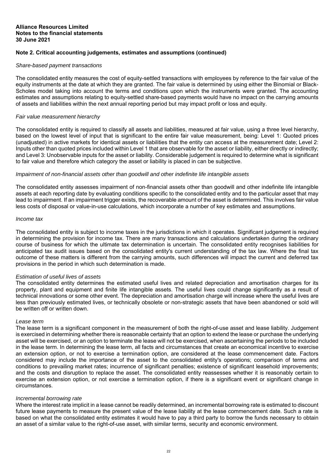## **Note 2. Critical accounting judgements, estimates and assumptions (continued)**

#### *Share-based payment transactions*

The consolidated entity measures the cost of equity-settled transactions with employees by reference to the fair value of the equity instruments at the date at which they are granted. The fair value is determined by using either the Binomial or Black-Scholes model taking into account the terms and conditions upon which the instruments were granted. The accounting estimates and assumptions relating to equity-settled share-based payments would have no impact on the carrying amounts of assets and liabilities within the next annual reporting period but may impact profit or loss and equity.

#### *Fair value measurement hierarchy*

The consolidated entity is required to classify all assets and liabilities, measured at fair value, using a three level hierarchy, based on the lowest level of input that is significant to the entire fair value measurement, being: Level 1: Quoted prices (unadjusted) in active markets for identical assets or liabilities that the entity can access at the measurement date; Level 2: Inputs other than quoted prices included within Level 1 that are observable for the asset or liability, either directly or indirectly; and Level 3: Unobservable inputs for the asset or liability. Considerable judgement is required to determine what is significant to fair value and therefore which category the asset or liability is placed in can be subjective.

#### *Impairment of non-financial assets other than goodwill and other indefinite life intangible assets*

The consolidated entity assesses impairment of non-financial assets other than goodwill and other indefinite life intangible assets at each reporting date by evaluating conditions specific to the consolidated entity and to the particular asset that may lead to impairment. If an impairment trigger exists, the recoverable amount of the asset is determined. This involves fair value less costs of disposal or value-in-use calculations, which incorporate a number of key estimates and assumptions.

#### *Income tax*

The consolidated entity is subject to income taxes in the jurisdictions in which it operates. Significant judgement is required in determining the provision for income tax. There are many transactions and calculations undertaken during the ordinary course of business for which the ultimate tax determination is uncertain. The consolidated entity recognises liabilities for anticipated tax audit issues based on the consolidated entity's current understanding of the tax law. Where the final tax outcome of these matters is different from the carrying amounts, such differences will impact the current and deferred tax provisions in the period in which such determination is made.

#### *Estimation of useful lives of assets*

The consolidated entity determines the estimated useful lives and related depreciation and amortisation charges for its property, plant and equipment and finite life intangible assets. The useful lives could change significantly as a result of technical innovations or some other event. The depreciation and amortisation charge will increase where the useful lives are less than previously estimated lives, or technically obsolete or non-strategic assets that have been abandoned or sold will be written off or written down.

#### *Lease term*

The lease term is a significant component in the measurement of both the right-of-use asset and lease liability. Judgement is exercised in determining whether there is reasonable certainty that an option to extend the lease or purchase the underlying asset will be exercised, or an option to terminate the lease will not be exercised, when ascertaining the periods to be included in the lease term. In determining the lease term, all facts and circumstances that create an economical incentive to exercise an extension option, or not to exercise a termination option, are considered at the lease commencement date. Factors considered may include the importance of the asset to the consolidated entity's operations; comparison of terms and conditions to prevailing market rates; incurrence of significant penalties; existence of significant leasehold improvements; and the costs and disruption to replace the asset. The consolidated entity reassesses whether it is reasonably certain to exercise an extension option, or not exercise a termination option, if there is a significant event or significant change in circumstances.

#### *Incremental borrowing rate*

Where the interest rate implicit in a lease cannot be readily determined, an incremental borrowing rate is estimated to discount future lease payments to measure the present value of the lease liability at the lease commencement date. Such a rate is based on what the consolidated entity estimates it would have to pay a third party to borrow the funds necessary to obtain an asset of a similar value to the right-of-use asset, with similar terms, security and economic environment.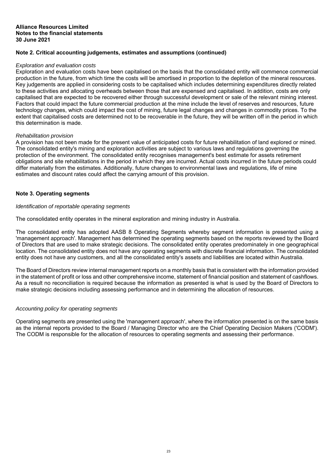## **Note 2. Critical accounting judgements, estimates and assumptions (continued)**

#### *Exploration and evaluation costs*

Exploration and evaluation costs have been capitalised on the basis that the consolidated entity will commence commercial production in the future, from which time the costs will be amortised in proportion to the depletion of the mineral resources. Key judgements are applied in considering costs to be capitalised which includes determining expenditures directly related to these activities and allocating overheads between those that are expensed and capitalised. In addition, costs are only capitalised that are expected to be recovered either through successful development or sale of the relevant mining interest. Factors that could impact the future commercial production at the mine include the level of reserves and resources, future technology changes, which could impact the cost of mining, future legal changes and changes in commodity prices. To the extent that capitalised costs are determined not to be recoverable in the future, they will be written off in the period in which this determination is made.

#### *Rehabilitation provision*

A provision has not been made for the present value of anticipated costs for future rehabilitation of land explored or mined. The consolidated entity's mining and exploration activities are subject to various laws and regulations governing the protection of the environment. The consolidated entity recognises management's best estimate for assets retirement obligations and site rehabilitations in the period in which they are incurred. Actual costs incurred in the future periods could differ materially from the estimates. Additionally, future changes to environmental laws and regulations, life of mine estimates and discount rates could affect the carrying amount of this provision.

## **Note 3. Operating segments**

## *Identification of reportable operating segments*

The consolidated entity operates in the mineral exploration and mining industry in Australia.

The consolidated entity has adopted AASB 8 Operating Segments whereby segment information is presented using a 'management approach'. Management has determined the operating segments based on the reports reviewed by the Board of Directors that are used to make strategic decisions. The consolidated entity operates predominately in one geographical location. The consolidated entity does not have any operating segments with discrete financial information. The consolidated entity does not have any customers, and all the consolidated entity's assets and liabilities are located within Australia.

The Board of Directors review internal management reports on a monthly basis that is consistent with the information provided in the statement of profit or loss and other comprehensive income, statement of financial position and statement of cashflows. As a result no reconciliation is required because the information as presented is what is used by the Board of Directors to make strategic decisions including assessing performance and in determining the allocation of resources.

## *Accounting policy for operating segments*

Operating segments are presented using the 'management approach', where the information presented is on the same basis as the internal reports provided to the Board / Managing Director who are the Chief Operating Decision Makers ('CODM'). The CODM is responsible for the allocation of resources to operating segments and assessing their performance.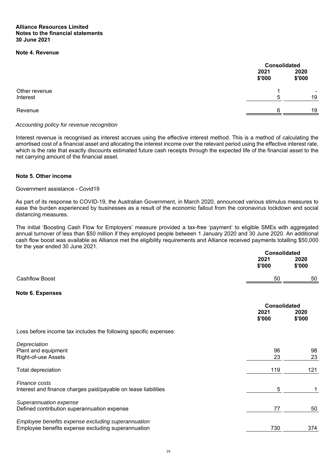#### **Note 4. Revenue**

|                           | <b>Consolidated</b> |                                |
|---------------------------|---------------------|--------------------------------|
|                           | 2021<br>\$'000      | 2020<br>\$'000                 |
| Other revenue<br>Interest | 5                   | $\overline{\phantom{0}}$<br>19 |
| Revenue                   | 6                   | 19                             |

#### *Accounting policy for revenue recognition*

Interest revenue is recognised as interest accrues using the effective interest method. This is a method of calculating the amortised cost of a financial asset and allocating the interest income over the relevant period using the effective interest rate, which is the rate that exactly discounts estimated future cash receipts through the expected life of the financial asset to the net carrying amount of the financial asset.

## **Note 5. Other income**

#### Government assistance - Covid19

As part of its response to COVID-19, the Australian Government, in March 2020, announced various stimulus measures to ease the burden experienced by businesses as a result of the economic fallout from the coronavirus lockdown and social distancing measures.

The initial 'Boosting Cash Flow for Employers' measure provided a tax-free 'payment' to eligible SMEs with aggregated annual turnover of less than \$50 million if they employed people between 1 January 2020 and 30 June 2020. An additional cash flow boost was available as Alliance met the eligibility requirements and Alliance received payments totalling \$50,000 for the year ended 30 June 2021. **Consolidated**

|                                                                                                          | <b>Consolidated</b>                   |                |
|----------------------------------------------------------------------------------------------------------|---------------------------------------|----------------|
|                                                                                                          | 2021<br>\$'000                        | 2020<br>\$'000 |
| <b>Cashflow Boost</b>                                                                                    | 50                                    | 50             |
| Note 6. Expenses                                                                                         |                                       |                |
|                                                                                                          | <b>Consolidated</b><br>2021<br>\$'000 | 2020<br>\$'000 |
| Loss before income tax includes the following specific expenses:                                         |                                       |                |
| Depreciation<br>Plant and equipment<br>Right-of-use Assets                                               | 96<br>23                              | 98<br>23       |
| Total depreciation                                                                                       | 119                                   | 121            |
| Finance costs<br>Interest and finance charges paid/payable on lease liabilities                          | 5                                     |                |
| Superannuation expense<br>Defined contribution superannuation expense                                    | 77                                    | 50             |
| Employee benefits expense excluding superannuation<br>Employee benefits expense excluding superannuation | 730                                   | 374            |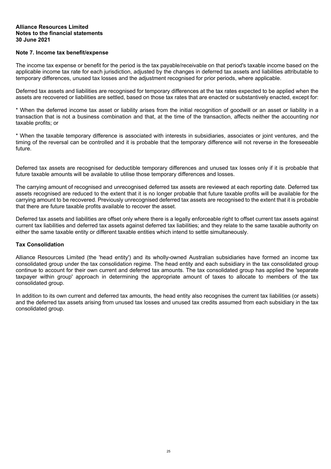## **Note 7. Income tax benefit/expense**

The income tax expense or benefit for the period is the tax payable/receivable on that period's taxable income based on the applicable income tax rate for each jurisdiction, adjusted by the changes in deferred tax assets and liabilities attributable to temporary differences, unused tax losses and the adjustment recognised for prior periods, where applicable.

Deferred tax assets and liabilities are recognised for temporary differences at the tax rates expected to be applied when the assets are recovered or liabilities are settled, based on those tax rates that are enacted or substantively enacted, except for:

\* When the deferred income tax asset or liability arises from the initial recognition of goodwill or an asset or liability in a transaction that is not a business combination and that, at the time of the transaction, affects neither the accounting nor taxable profits; or

\* When the taxable temporary difference is associated with interests in subsidiaries, associates or joint ventures, and the timing of the reversal can be controlled and it is probable that the temporary difference will not reverse in the foreseeable future.

Deferred tax assets are recognised for deductible temporary differences and unused tax losses only if it is probable that future taxable amounts will be available to utilise those temporary differences and losses.

The carrying amount of recognised and unrecognised deferred tax assets are reviewed at each reporting date. Deferred tax assets recognised are reduced to the extent that it is no longer probable that future taxable profits will be available for the carrying amount to be recovered. Previously unrecognised deferred tax assets are recognised to the extent that it is probable that there are future taxable profits available to recover the asset.

Deferred tax assets and liabilities are offset only where there is a legally enforceable right to offset current tax assets against current tax liabilities and deferred tax assets against deferred tax liabilities; and they relate to the same taxable authority on either the same taxable entity or different taxable entities which intend to settle simultaneously.

#### **Tax Consolidation**

Alliance Resources Limited (the 'head entity') and its wholly-owned Australian subsidiaries have formed an income tax consolidated group under the tax consolidation regime. The head entity and each subsidiary in the tax consolidated group continue to account for their own current and deferred tax amounts. The tax consolidated group has applied the 'separate taxpayer within group' approach in determining the appropriate amount of taxes to allocate to members of the tax consolidated group.

In addition to its own current and deferred tax amounts, the head entity also recognises the current tax liabilities (or assets) and the deferred tax assets arising from unused tax losses and unused tax credits assumed from each subsidiary in the tax consolidated group.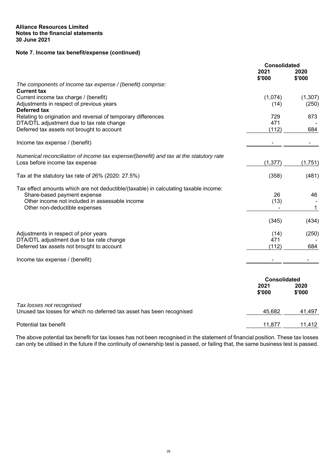## **Note 7. Income tax benefit/expense (continued)**

|                                                                                                                                                                                                        | <b>Consolidated</b>                   |                  |
|--------------------------------------------------------------------------------------------------------------------------------------------------------------------------------------------------------|---------------------------------------|------------------|
|                                                                                                                                                                                                        | 2021<br>\$'000                        | 2020<br>\$'000   |
| The components of Income tax expense / (benefit) comprise:<br><b>Current tax</b>                                                                                                                       |                                       |                  |
| Current income tax charge / (benefit)<br>Adjustments in respect of previous years<br><b>Deferred tax</b>                                                                                               | (1,074)<br>(14)                       | (1,307)<br>(250) |
| Relating to origination and reversal of temporary differences<br>DTA/DTL adjustment due to tax rate change                                                                                             | 729<br>471                            | 873              |
| Deferred tax assets not brought to account                                                                                                                                                             | (112)                                 | 684              |
| Income tax expense / (benefit)                                                                                                                                                                         |                                       |                  |
| Numerical reconciliation of income tax expense/(benefit) and tax at the statutory rate<br>Loss before income tax expense                                                                               | (1, 377)                              | (1,751)          |
| Tax at the statutory tax rate of 26% (2020: 27.5%)                                                                                                                                                     | (358)                                 | (481)            |
| Tax effect amounts which are not deductible/(taxable) in calculating taxable income:<br>Share-based payment expense<br>Other income not included in assessable income<br>Other non-deductible expenses | 26<br>(13)                            | 46<br>1          |
|                                                                                                                                                                                                        | (345)                                 | (434)            |
| Adjustments in respect of prior years<br>DTA/DTL adjustment due to tax rate change<br>Deferred tax assets not brought to account                                                                       | (14)<br>471<br>(112)                  | (250)<br>684     |
| Income tax expense / (benefit)                                                                                                                                                                         |                                       |                  |
|                                                                                                                                                                                                        | <b>Consolidated</b><br>2021<br>\$'000 | 2020<br>\$'000   |
| Tax losses not recognised<br>Unused tax losses for which no deferred tax asset has been recognised                                                                                                     | 45,682                                | 41,497           |
| Potential tax benefit                                                                                                                                                                                  | 11,877                                | 11,412           |

The above potential tax benefit for tax losses has not been recognised in the statement of financial position. These tax losses can only be utilised in the future if the continuity of ownership test is passed, or failing that, the same business test is passed.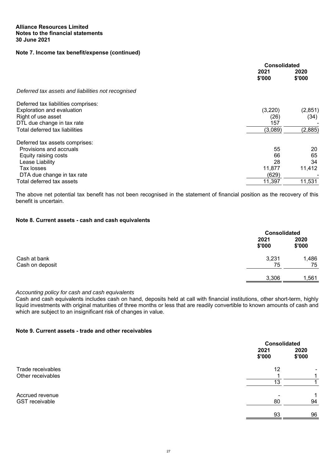## **Note 7. Income tax benefit/expense (continued)**

|                                                    | <b>Consolidated</b> |                |
|----------------------------------------------------|---------------------|----------------|
|                                                    | 2021<br>\$'000      | 2020<br>\$'000 |
| Deferred tax assets and liabilities not recognised |                     |                |
| Deferred tax liabilities comprises:                |                     |                |
| Exploration and evaluation                         | (3,220)             | (2,851)        |
| Right of use asset                                 | (26)                | (34)           |
| DTL due change in tax rate                         | 157                 |                |
| Total deferred tax liabilities                     | (3,089)             | (2,885)        |
| Deferred tax assets comprises:                     |                     |                |
| Provisions and accruals                            | 55                  | 20             |
| Equity raising costs                               | 66                  | 65             |
| Lease Liability                                    | 28                  | 34             |
| Tax losses                                         | 11,877              | 11,412         |
| DTA due change in tax rate                         | (629)               |                |
| Total deferred tax assets                          | 11,397              | 11,531         |

The above net potential tax benefit has not been recognised in the statement of financial position as the recovery of this benefit is uncertain.

## **Note 8. Current assets - cash and cash equivalents**

|                 |                | <b>Consolidated</b> |  |
|-----------------|----------------|---------------------|--|
|                 | 2021<br>\$'000 | 2020<br>\$'000      |  |
| Cash at bank    | 3,231          | 1,486               |  |
| Cash on deposit | 75             | 75                  |  |
|                 | 3,306          | 1,561               |  |

*Accounting policy for cash and cash equivalents* 

Cash and cash equivalents includes cash on hand, deposits held at call with financial institutions, other short-term, highly liquid investments with original maturities of three months or less that are readily convertible to known amounts of cash and which are subject to an insignificant risk of changes in value.

#### **Note 9. Current assets - trade and other receivables**

|                                        |                | <b>Consolidated</b> |  |
|----------------------------------------|----------------|---------------------|--|
|                                        | 2021<br>\$'000 | 2020<br>\$'000      |  |
| Trade receivables<br>Other receivables | 12             |                     |  |
|                                        | 13             |                     |  |
| Accrued revenue                        |                |                     |  |
| <b>GST</b> receivable                  | 80             | 94                  |  |
|                                        | 93             | 96                  |  |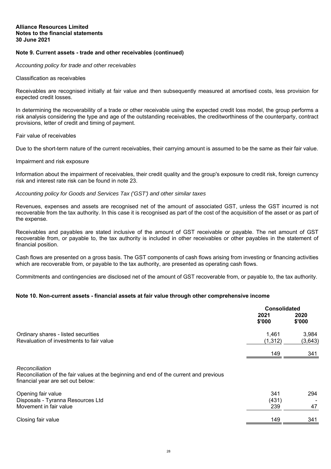## **Note 9. Current assets - trade and other receivables (continued)**

*Accounting policy for trade and other receivables* 

#### Classification as receivables

Receivables are recognised initially at fair value and then subsequently measured at amortised costs, less provision for expected credit losses.

In determining the recoverability of a trade or other receivable using the expected credit loss model, the group performs a risk analysis considering the type and age of the outstanding receivables, the creditworthiness of the counterparty, contract provisions, letter of credit and timing of payment.

#### Fair value of receivables

Due to the short-term nature of the current receivables, their carrying amount is assumed to be the same as their fair value.

#### Impairment and risk exposure

Information about the impairment of receivables, their credit quality and the group's exposure to credit risk, foreign currency risk and interest rate risk can be found in note 23.

#### *Accounting policy for Goods and Services Tax ('GST') and other similar taxes*

Revenues, expenses and assets are recognised net of the amount of associated GST, unless the GST incurred is not recoverable from the tax authority. In this case it is recognised as part of the cost of the acquisition of the asset or as part of the expense.

Receivables and payables are stated inclusive of the amount of GST receivable or payable. The net amount of GST recoverable from, or payable to, the tax authority is included in other receivables or other payables in the statement of financial position.

Cash flows are presented on a gross basis. The GST components of cash flows arising from investing or financing activities which are recoverable from, or payable to the tax authority, are presented as operating cash flows.

Commitments and contingencies are disclosed net of the amount of GST recoverable from, or payable to, the tax authority.

## **Note 10. Non-current assets - financial assets at fair value through other comprehensive income**

|                                                                                                                                               | <b>Consolidated</b> |                  |
|-----------------------------------------------------------------------------------------------------------------------------------------------|---------------------|------------------|
|                                                                                                                                               | 2021<br>\$'000      | 2020<br>\$'000   |
| Ordinary shares - listed securities<br>Revaluation of investments to fair value                                                               | 1,461<br>(1, 312)   | 3,984<br>(3,643) |
|                                                                                                                                               | 149                 | 341              |
| Reconciliation<br>Reconciliation of the fair values at the beginning and end of the current and previous<br>financial year are set out below: |                     |                  |
| Opening fair value                                                                                                                            | 341                 | 294              |
| Disposals - Tyranna Resources Ltd                                                                                                             | (431)               |                  |
| Movement in fair value                                                                                                                        | 239                 | 47               |
| Closing fair value                                                                                                                            | 149                 | 341              |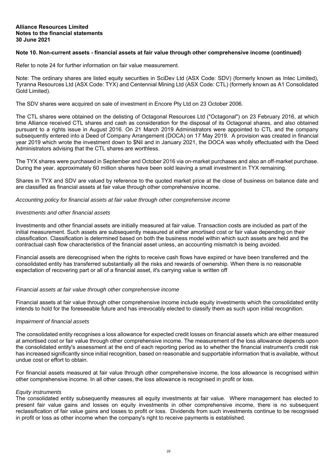#### **Note 10. Non-current assets - financial assets at fair value through other comprehensive income (continued)**

Refer to note 24 for further information on fair value measurement.

Note: The ordinary shares are listed equity securities in SciDev Ltd (ASX Code: SDV) (formerly known as Intec Limited), Tyranna Resources Ltd (ASX Code: TYX) and Centennial Mining Ltd (ASX Code: CTL) (formerly known as A1 Consolidated Gold Limited).

The SDV shares were acquired on sale of investment in Encore Pty Ltd on 23 October 2006.

The CTL shares were obtained on the delisting of Octagonal Resources Ltd ("Octagonal") on 23 February 2016, at which time Alliance received CTL shares and cash as consideration for the disposal of its Octagonal shares, and also obtained pursuant to a rights issue in August 2016. On 21 March 2019 Administrators were appointed to CTL and the company subsequently entered into a Deed of Company Arrangement (DOCA) on 17 May 2019. A provision was created in financial year 2019 which wrote the investment down to \$Nil and in January 2021, the DOCA was wholly effectuated with the Deed Administrators advising that the CTL shares are worthless.

The TYX shares were purchased in September and October 2016 via on-market purchases and also an off-market purchase. During the year, approximately 60 million shares have been sold leaving a small investment in TYX remaining.

Shares in TYX and SDV are valued by reference to the quoted market price at the close of business on balance date and are classified as financial assets at fair value through other comprehensive income.

*Accounting policy for financial assets at fair value through other comprehensive income*

#### *Investments and other financial assets*

Investments and other financial assets are initially measured at fair value. Transaction costs are included as part of the initial measurement. Such assets are subsequently measured at either amortised cost or fair value depending on their classification. Classification is determined based on both the business model within which such assets are held and the contractual cash flow characteristics of the financial asset unless, an accounting mismatch is being avoided.

Financial assets are derecognised when the rights to receive cash flows have expired or have been transferred and the consolidated entity has transferred substantially all the risks and rewards of ownership. When there is no reasonable expectation of recovering part or all of a financial asset, it's carrying value is written off

## *Financial assets at fair value through other comprehensive income*

Financial assets at fair value through other comprehensive income include equity investments which the consolidated entity intends to hold for the foreseeable future and has irrevocably elected to classify them as such upon initial recognition.

#### *Impairment of financial assets*

The consolidated entity recognises a loss allowance for expected credit losses on financial assets which are either measured at amortised cost or fair value through other comprehensive income. The measurement of the loss allowance depends upon the consolidated entity's assessment at the end of each reporting period as to whether the financial instrument's credit risk has increased significantly since initial recognition, based on reasonable and supportable information that is available, without undue cost or effort to obtain.

For financial assets measured at fair value through other comprehensive income, the loss allowance is recognised within other comprehensive income. In all other cases, the loss allowance is recognised in profit or loss.

#### *Equity instruments*

The consolidated entity subsequently measures all equity investments at fair value. Where management has elected to present fair value gains and losses on equity investments in other comprehensive income, there is no subsequent reclassification of fair value gains and losses to profit or loss. Dividends from such investments continue to be recognised in profit or loss as other income when the company's right to receive payments is established.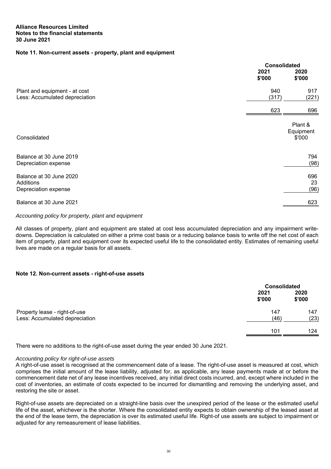#### **Note 11. Non-current assets - property, plant and equipment**

|                                                                 | <b>Consolidated</b> |                                |
|-----------------------------------------------------------------|---------------------|--------------------------------|
|                                                                 | 2021<br>\$'000      | 2020<br>\$'000                 |
| Plant and equipment - at cost<br>Less: Accumulated depreciation | 940<br>(317)        | 917<br>(221)                   |
|                                                                 | 623                 | 696                            |
| Consolidated                                                    |                     | Plant &<br>Equipment<br>\$'000 |
| Balance at 30 June 2019<br>Depreciation expense                 |                     | 794<br>(98)                    |
| Balance at 30 June 2020<br>Additions<br>Depreciation expense    |                     | 696<br>23<br>(96)              |
| Balance at 30 June 2021                                         |                     | 623                            |

## *Accounting policy for property, plant and equipment*

All classes of property, plant and equipment are stated at cost less accumulated depreciation and any impairment writedowns. Depreciation is calculated on either a prime cost basis or a reducing balance basis to write off the net cost of each item of property, plant and equipment over its expected useful life to the consolidated entity. Estimates of remaining useful lives are made on a regular basis for all assets.

#### **Note 12. Non-current assets - right-of-use assets**

|                                                                 |                | <b>Consolidated</b> |  |
|-----------------------------------------------------------------|----------------|---------------------|--|
|                                                                 | 2021<br>\$'000 | 2020<br>\$'000      |  |
| Property lease - right-of-use<br>Less: Accumulated depreciation | 147<br>(46)    | 147<br>(23)         |  |
|                                                                 | 101            | 124                 |  |

There were no additions to the right-of-use asset during the year ended 30 June 2021.

#### *Accounting policy for right-of-use assets*

A right-of-use asset is recognised at the commencement date of a lease. The right-of-use asset is measured at cost, which comprises the initial amount of the lease liability, adjusted for, as applicable, any lease payments made at or before the commencement date net of any lease incentives received, any initial direct costs incurred, and, except where included in the cost of inventories, an estimate of costs expected to be incurred for dismantling and removing the underlying asset, and restoring the site or asset.

Right-of-use assets are depreciated on a straight-line basis over the unexpired period of the lease or the estimated useful life of the asset, whichever is the shorter. Where the consolidated entity expects to obtain ownership of the leased asset at the end of the lease term, the depreciation is over its estimated useful life. Right-of use assets are subject to impairment or adjusted for any remeasurement of lease liabilities.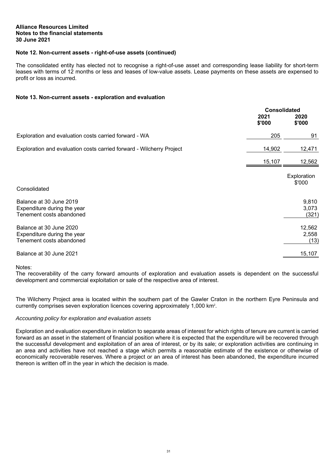## **Note 12. Non-current assets - right-of-use assets (continued)**

The consolidated entity has elected not to recognise a right-of-use asset and corresponding lease liability for short-term leases with terms of 12 months or less and leases of low-value assets. Lease payments on these assets are expensed to profit or loss as incurred.

## **Note 13. Non-current assets - exploration and evaluation**

|                                                                                    | <b>Consolidated</b> |                         |
|------------------------------------------------------------------------------------|---------------------|-------------------------|
|                                                                                    | 2021<br>\$'000      | 2020<br>\$'000          |
| Exploration and evaluation costs carried forward - WA                              | 205                 | 91                      |
| Exploration and evaluation costs carried forward - Wilcherry Project               | 14,902              | 12,471                  |
|                                                                                    | 15,107              | 12,562                  |
| Consolidated                                                                       |                     | Exploration<br>\$'000   |
| Balance at 30 June 2019<br>Expenditure during the year<br>Tenement costs abandoned |                     | 9,810<br>3,073<br>(321) |
| Balance at 30 June 2020<br>Expenditure during the year<br>Tenement costs abandoned |                     | 12,562<br>2,558<br>(13) |
| Balance at 30 June 2021                                                            |                     | 15,107                  |

Notes:

The recoverability of the carry forward amounts of exploration and evaluation assets is dependent on the successful development and commercial exploitation or sale of the respective area of interest.

The Wilcherry Project area is located within the southern part of the Gawler Craton in the northern Eyre Peninsula and currently comprises seven exploration licences covering approximately 1,000 km2 .

#### *Accounting policy for exploration and evaluation assets*

Exploration and evaluation expenditure in relation to separate areas of interest for which rights of tenure are current is carried forward as an asset in the statement of financial position where it is expected that the expenditure will be recovered through the successful development and exploitation of an area of interest, or by its sale; or exploration activities are continuing in an area and activities have not reached a stage which permits a reasonable estimate of the existence or otherwise of economically recoverable reserves. Where a project or an area of interest has been abandoned, the expenditure incurred thereon is written off in the year in which the decision is made.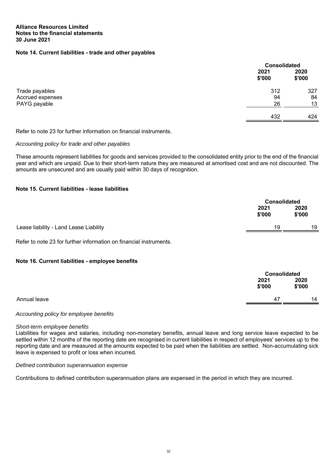## **Note 14. Current liabilities - trade and other payables**

|                  |                | <b>Consolidated</b> |  |
|------------------|----------------|---------------------|--|
|                  | 2021<br>\$'000 | 2020<br>\$'000      |  |
| Trade payables   | 312            | 327                 |  |
| Accrued expenses | 94             | 84                  |  |
| PAYG payable     | 26             | 13                  |  |
|                  | 432            | 424                 |  |
|                  |                |                     |  |

Refer to note 23 for further information on financial instruments.

#### *Accounting policy for trade and other payables*

These amounts represent liabilities for goods and services provided to the consolidated entity prior to the end of the financial year and which are unpaid. Due to their short-term nature they are measured at amortised cost and are not discounted. The amounts are unsecured and are usually paid within 30 days of recognition.

## **Note 15. Current liabilities - lease liabilities**

|                                                                    |                | <b>Consolidated</b> |  |
|--------------------------------------------------------------------|----------------|---------------------|--|
|                                                                    | 2021<br>\$'000 | 2020<br>\$'000      |  |
| Lease liability - Land Lease Liability                             | 19             | 19                  |  |
| Refer to note 23 for further information on financial instruments. |                |                     |  |

## **Note 16. Current liabilities - employee benefits**

|              |                | <b>Consolidated</b> |  |
|--------------|----------------|---------------------|--|
|              | 2021<br>\$'000 | 2020<br>\$'000      |  |
| Annual leave | 47             | 14                  |  |

#### *Accounting policy for employee benefits*

#### *Short-term employee benefits*

Liabilities for wages and salaries, including non-monetary benefits, annual leave and long service leave expected to be settled within 12 months of the reporting date are recognised in current liabilities in respect of employees' services up to the reporting date and are measured at the amounts expected to be paid when the liabilities are settled. Non-accumulating sick leave is expensed to profit or loss when incurred.

#### *Defined contribution superannuation expense*

Contributions to defined contribution superannuation plans are expensed in the period in which they are incurred.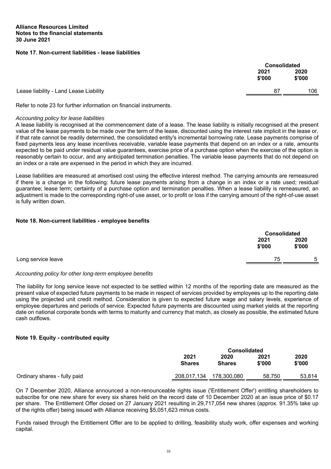#### **Note 17. Non-current liabilities - lease liabilities**

|                                        |                | <b>Consolidated</b> |  |
|----------------------------------------|----------------|---------------------|--|
|                                        | 2021<br>\$'000 | 2020<br>\$'000      |  |
| Lease liability - Land Lease Liability | 87             | 106                 |  |
|                                        |                |                     |  |

Refer to note 23 for further information on financial instruments.

#### *Accounting policy for lease liabilities*

A lease liability is recognised at the commencement date of a lease. The lease liability is initially recognised at the present value of the lease payments to be made over the term of the lease, discounted using the interest rate implicit in the lease or, if that rate cannot be readily determined, the consolidated entity's incremental borrowing rate. Lease payments comprise of fixed payments less any lease incentives receivable, variable lease payments that depend on an index or a rate, amounts expected to be paid under residual value guarantees, exercise price of a purchase option when the exercise of the option is reasonably certain to occur, and any anticipated termination penalties. The variable lease payments that do not depend on an index or a rate are expensed in the period in which they are incurred.

Lease liabilities are measured at amortised cost using the effective interest method. The carrying amounts are remeasured if there is a change in the following: future lease payments arising from a change in an index or a rate used; residual guarantee; lease term; certainty of a purchase option and termination penalties. When a lease liability is remeasured, an adjustment is made to the corresponding right-of use asset, or to profit or loss if the carrying amount of the right-of-use asset is fully written down.

## **Note 18. Non-current liabilities - employee benefits**

|                    |                | <b>Consolidated</b> |  |
|--------------------|----------------|---------------------|--|
|                    | 2021<br>\$'000 | 2020<br>\$'000      |  |
| Long service leave | 75             | 5                   |  |
|                    |                |                     |  |

#### *Accounting policy for other long-term employee benefits*

The liability for long service leave not expected to be settled within 12 months of the reporting date are measured as the present value of expected future payments to be made in respect of services provided by employees up to the reporting date using the projected unit credit method. Consideration is given to expected future wage and salary levels, experience of employee departures and periods of service. Expected future payments are discounted using market yields at the reporting date on national corporate bonds with terms to maturity and currency that match, as closely as possible, the estimated future cash outflows.

## **Note 19. Equity - contributed equity**

|                              | <b>Consolidated</b>   |                       |                |                |
|------------------------------|-----------------------|-----------------------|----------------|----------------|
|                              | 2021<br><b>Shares</b> | 2020<br><b>Shares</b> | 2021<br>\$'000 | 2020<br>\$'000 |
| Ordinary shares - fully paid | 208,017,134           | 178,300,080           | 58.750         | 53.814         |

On 7 December 2020, Alliance announced a non-renounceable rights issue ('Entitlement Offer') entitling shareholders to subscribe for one new share for every six shares held on the record date of 10 December 2020 at an issue price of \$0.17 per share. The Entitlement Offer closed on 27 January 2021 resulting in 29,717,054 new shares (approx. 91.35% take up of the rights offer) being issued with Alliance receiving \$5,051,623 minus costs.

Funds raised through the Entitlement Offer are to be applied to drilling, feasibility study work, offer expenses and working capital.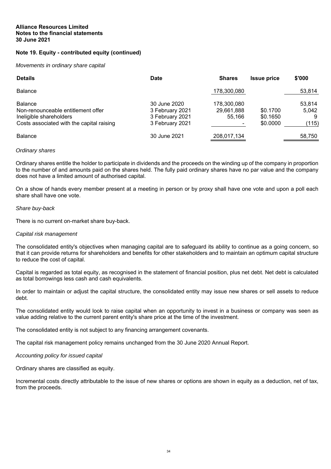## **Note 19. Equity - contributed equity (continued)**

*Movements in ordinary share capital* 

| <b>Details</b>                                                                                                               | <b>Date</b>                                                           | <b>Shares</b>                       | <b>Issue price</b>               | \$'000                        |
|------------------------------------------------------------------------------------------------------------------------------|-----------------------------------------------------------------------|-------------------------------------|----------------------------------|-------------------------------|
| <b>Balance</b>                                                                                                               |                                                                       | 178,300,080                         |                                  | 53,814                        |
| <b>Balance</b><br>Non-renounceable entitlement offer<br>Ineligible shareholders<br>Costs associated with the capital raising | 30 June 2020<br>3 February 2021<br>3 February 2021<br>3 February 2021 | 178,300,080<br>29,661,888<br>55.166 | \$0.1700<br>\$0.1650<br>\$0,0000 | 53,814<br>5,042<br>9<br>(115) |
| <b>Balance</b>                                                                                                               | 30 June 2021                                                          | 208,017,134                         |                                  | 58.750                        |

#### *Ordinary shares*

Ordinary shares entitle the holder to participate in dividends and the proceeds on the winding up of the company in proportion to the number of and amounts paid on the shares held. The fully paid ordinary shares have no par value and the company does not have a limited amount of authorised capital.

On a show of hands every member present at a meeting in person or by proxy shall have one vote and upon a poll each share shall have one vote.

#### *Share buy-back*

There is no current on-market share buy-back.

#### *Capital risk management*

The consolidated entity's objectives when managing capital are to safeguard its ability to continue as a going concern, so that it can provide returns for shareholders and benefits for other stakeholders and to maintain an optimum capital structure to reduce the cost of capital.

Capital is regarded as total equity, as recognised in the statement of financial position, plus net debt. Net debt is calculated as total borrowings less cash and cash equivalents.

In order to maintain or adjust the capital structure, the consolidated entity may issue new shares or sell assets to reduce debt.

The consolidated entity would look to raise capital when an opportunity to invest in a business or company was seen as value adding relative to the current parent entity's share price at the time of the investment.

The consolidated entity is not subject to any financing arrangement covenants.

The capital risk management policy remains unchanged from the 30 June 2020 Annual Report.

#### *Accounting policy for issued capital*

Ordinary shares are classified as equity.

Incremental costs directly attributable to the issue of new shares or options are shown in equity as a deduction, net of tax, from the proceeds.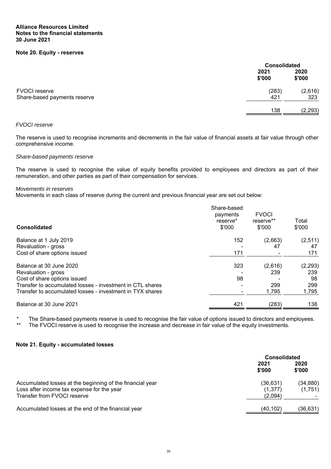## **Note 20. Equity - reserves**

|                              |                | <b>Consolidated</b> |  |
|------------------------------|----------------|---------------------|--|
|                              | 2021<br>\$'000 | 2020<br>\$'000      |  |
| <b>FVOCI reserve</b>         | (283)          | (2,616)             |  |
| Share-based payments reserve | 421            | 323                 |  |
|                              | 138            | (2, 293)            |  |

## *FVOCI reserve*

The reserve is used to recognise increments and decrements in the fair value of financial assets at fair value through other comprehensive income.

#### *Share-based payments reserve*

The reserve is used to recognise the value of equity benefits provided to employees and directors as part of their remuneration, and other parties as part of their compensation for services.

#### *Movements in reserves*

Movements in each class of reserve during the current and previous financial year are set out below:

| <b>Consolidated</b>                                       | Share-based<br>payments<br>reserve*<br>\$'000 | <b>FVOCI</b><br>reserve**<br>\$'000 | Total<br>\$'000 |
|-----------------------------------------------------------|-----------------------------------------------|-------------------------------------|-----------------|
| Balance at 1 July 2019                                    | 152                                           | (2,663)                             | (2, 511)        |
| Revaluation - gross                                       |                                               | 47                                  | 47              |
| Cost of share options issued                              | 171                                           |                                     | 171             |
| Balance at 30 June 2020                                   | 323                                           | (2,616)                             | (2, 293)        |
| Revaluation - gross                                       |                                               | 239                                 | 239             |
| Cost of share options issued                              | 98                                            |                                     | 98              |
| Transfer to accumulated losses - investment in CTL shares |                                               | 299                                 | 299             |
| Transfer to accumulated losses - investment in TYX shares |                                               | 1,795                               | 1,795           |
| Balance at 30 June 2021                                   | 421                                           | (283)                               | 138             |

\* The Share-based payments reserve is used to recognise the fair value of options issued to directors and employees.<br>\*\* The EVOCL reserve is used to recognise the increase and decrease in fair value of the equity investmen

The FVOCI reserve is used to recognise the increase and decrease in fair value of the equity investments.

#### **Note 21. Equity - accumulated losses**

|                                                                                                                                        |                                 | <b>Consolidated</b> |  |
|----------------------------------------------------------------------------------------------------------------------------------------|---------------------------------|---------------------|--|
|                                                                                                                                        | 2021<br>\$'000                  | 2020<br>\$'000      |  |
| Accumulated losses at the beginning of the financial year<br>Loss after income tax expense for the year<br>Transfer from FVOCI reserve | (36,631)<br>(1, 377)<br>(2,094) | (34,880)<br>(1,751) |  |
| Accumulated losses at the end of the financial year                                                                                    | (40,102)                        | (36,631)            |  |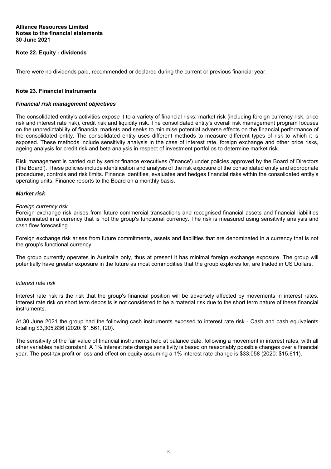## **Note 22. Equity - dividends**

There were no dividends paid, recommended or declared during the current or previous financial year.

#### **Note 23. Financial Instruments**

#### *Financial risk management objectives*

The consolidated entity's activities expose it to a variety of financial risks: market risk (including foreign currency risk, price risk and interest rate risk), credit risk and liquidity risk. The consolidated entity's overall risk management program focuses on the unpredictability of financial markets and seeks to minimise potential adverse effects on the financial performance of the consolidated entity. The consolidated entity uses different methods to measure different types of risk to which it is exposed. These methods include sensitivity analysis in the case of interest rate, foreign exchange and other price risks, ageing analysis for credit risk and beta analysis in respect of investment portfolios to determine market risk.

Risk management is carried out by senior finance executives ('finance') under policies approved by the Board of Directors ('the Board'). These policies include identification and analysis of the risk exposure of the consolidated entity and appropriate procedures, controls and risk limits. Finance identifies, evaluates and hedges financial risks within the consolidated entity's operating units. Finance reports to the Board on a monthly basis.

#### *Market risk*

#### *Foreign currency risk*

Foreign exchange risk arises from future commercial transactions and recognised financial assets and financial liabilities denominated in a currency that is not the group's functional currency. The risk is measured using sensitivity analysis and cash flow forecasting.

Foreign exchange risk arises from future commitments, assets and liabilities that are denominated in a currency that is not the group's functional currency.

The group currently operates in Australia only, thus at present it has minimal foreign exchange exposure. The group will potentially have greater exposure in the future as most commodities that the group explores for, are traded in US Dollars.

#### *Interest rate risk*

Interest rate risk is the risk that the group's financial position will be adversely affected by movements in interest rates. Interest rate risk on short term deposits is not considered to be a material risk due to the short term nature of these financial instruments.

At 30 June 2021 the group had the following cash instruments exposed to interest rate risk - Cash and cash equivalents totalling \$3,305,836 (2020: \$1,561,120).

The sensitivity of the fair value of financial instruments held at balance date, following a movement in interest rates, with all other variables held constant. A 1% interest rate change sensitivity is based on reasonably possible changes over a financial year. The post-tax profit or loss and effect on equity assuming a 1% interest rate change is \$33,058 (2020: \$15,611).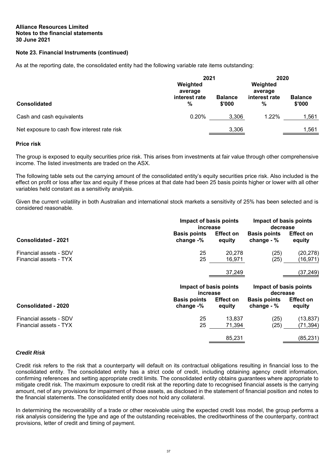## **Note 23. Financial Instruments (continued)**

As at the reporting date, the consolidated entity had the following variable rate items outstanding:

|                                              | 2021<br>Weighted              |                          | 2020<br>Weighted              |                          |  |  |
|----------------------------------------------|-------------------------------|--------------------------|-------------------------------|--------------------------|--|--|
| <b>Consolidated</b>                          | average<br>interest rate<br>% | <b>Balance</b><br>\$'000 | average<br>interest rate<br>% | <b>Balance</b><br>\$'000 |  |  |
| Cash and cash equivalents                    | 0.20%                         | 3,306                    | 1.22%                         | 1,561                    |  |  |
| Net exposure to cash flow interest rate risk |                               | 3,306                    |                               | 1,561                    |  |  |

#### **Price risk**

The group is exposed to equity securities price risk. This arises from investments at fair value through other comprehensive income. The listed investments are traded on the ASX.

The following table sets out the carrying amount of the consolidated entity's equity securities price risk. Also included is the effect on profit or loss after tax and equity if these prices at that date had been 25 basis points higher or lower with all other variables held constant as a sensitivity analysis.

Given the current volatility in both Australian and international stock markets a sensitivity of 25% has been selected and is considered reasonable.

|                            | Impact of basis points<br>increase |                        | Impact of basis points<br>decrease |                  |
|----------------------------|------------------------------------|------------------------|------------------------------------|------------------|
| <b>Consolidated - 2021</b> | <b>Basis points</b>                | <b>Effect on</b>       | <b>Basis points</b>                | <b>Effect on</b> |
|                            | change -%                          | equity                 | change $-$ %                       | equity           |
| Financial assets - SDV     | 25                                 | 20,278                 | (25)                               | (20, 278)        |
| Financial assets - TYX     | 25                                 | 16,971                 | (25)                               | (16, 971)        |
|                            |                                    | 37,249                 |                                    | (37, 249)        |
|                            |                                    | Impact of basis points | Impact of basis points             |                  |
|                            | increase                           |                        | decrease                           |                  |
| Consolidated - 2020        | <b>Basis points</b>                | <b>Effect on</b>       | <b>Basis points</b>                | <b>Effect on</b> |
|                            | change -%                          | equity                 | change $-$ %                       | equity           |
| Financial assets - SDV     | 25                                 | 13,837                 | (25)                               | (13, 837)        |
| Financial assets - TYX     | 25                                 | 71,394                 | (25)                               | (71, 394)        |

## *Credit Risk*

Credit risk refers to the risk that a counterparty will default on its contractual obligations resulting in financial loss to the consolidated entity. The consolidated entity has a strict code of credit, including obtaining agency credit information, confirming references and setting appropriate credit limits. The consolidated entity obtains guarantees where appropriate to mitigate credit risk. The maximum exposure to credit risk at the reporting date to recognised financial assets is the carrying amount, net of any provisions for impairment of those assets, as disclosed in the statement of financial position and notes to the financial statements. The consolidated entity does not hold any collateral.

In determining the recoverability of a trade or other receivable using the expected credit loss model, the group performs a risk analysis considering the type and age of the outstanding receivables, the creditworthiness of the counterparty, contract provisions, letter of credit and timing of payment.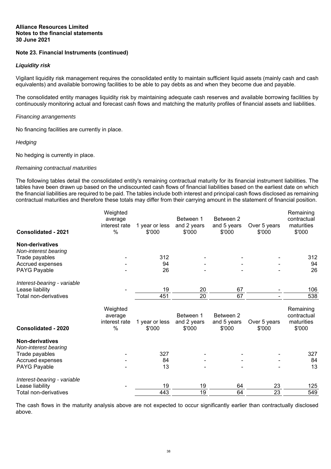## **Note 23. Financial Instruments (continued)**

#### *Liquidity risk*

Vigilant liquidity risk management requires the consolidated entity to maintain sufficient liquid assets (mainly cash and cash equivalents) and available borrowing facilities to be able to pay debts as and when they become due and payable.

The consolidated entity manages liquidity risk by maintaining adequate cash reserves and available borrowing facilities by continuously monitoring actual and forecast cash flows and matching the maturity profiles of financial assets and liabilities.

#### *Financing arrangements*

No financing facilities are currently in place.

#### *Hedging*

No hedging is currently in place.

#### *Remaining contractual maturities*

The following tables detail the consolidated entity's remaining contractual maturity for its financial instrument liabilities. The tables have been drawn up based on the undiscounted cash flows of financial liabilities based on the earliest date on which the financial liabilities are required to be paid. The tables include both interest and principal cash flows disclosed as remaining contractual maturities and therefore these totals may differ from their carrying amount in the statement of financial position.

| <b>Consolidated - 2021</b>  | Weighted<br>average<br>interest rate<br>$\%$ | 1 year or less<br>\$'000 | Between 1<br>and 2 years<br>\$'000 | Between 2<br>and 5 years<br>\$'000 | Over 5 years<br>\$'000 | Remaining<br>contractual<br>maturities<br>\$'000 |
|-----------------------------|----------------------------------------------|--------------------------|------------------------------------|------------------------------------|------------------------|--------------------------------------------------|
| <b>Non-derivatives</b>      |                                              |                          |                                    |                                    |                        |                                                  |
| Non-interest bearing        |                                              |                          |                                    |                                    |                        |                                                  |
| Trade payables              |                                              | 312                      |                                    |                                    |                        | 312                                              |
| Accrued expenses            |                                              | 94                       |                                    |                                    |                        | 94                                               |
| PAYG Payable                |                                              | 26                       |                                    |                                    |                        | 26                                               |
| Interest-bearing - variable |                                              |                          |                                    |                                    |                        |                                                  |
| Lease liability             |                                              | 19                       | 20                                 | 67                                 |                        | 106                                              |
| Total non-derivatives       |                                              | 451                      | $\overline{20}$                    | 67                                 |                        | 538                                              |
|                             | Weighted                                     |                          |                                    |                                    |                        | Remaining                                        |
|                             | average                                      |                          | Between 1                          | Between 2                          |                        | contractual                                      |
| <b>Consolidated - 2020</b>  | interest rate<br>%                           | 1 year or less<br>\$'000 | and 2 years<br>\$'000              | and 5 years<br>\$'000              | Over 5 years<br>\$'000 | maturities<br>\$'000                             |
| <b>Non-derivatives</b>      |                                              |                          |                                    |                                    |                        |                                                  |
| Non-interest bearing        |                                              |                          |                                    |                                    |                        |                                                  |
| Trade payables              |                                              | 327                      |                                    |                                    |                        | 327                                              |
| Accrued expenses            |                                              | 84                       |                                    |                                    |                        | 84                                               |
| PAYG Payable                |                                              | 13                       |                                    |                                    |                        | 13                                               |
| Interest-bearing - variable |                                              |                          |                                    |                                    |                        |                                                  |
| Lease liability             |                                              | 19                       | 19                                 | 64                                 | 23                     | 125                                              |
| Total non-derivatives       |                                              | 443                      | 19                                 | 64                                 | $\overline{23}$        | 549                                              |

The cash flows in the maturity analysis above are not expected to occur significantly earlier than contractually disclosed above.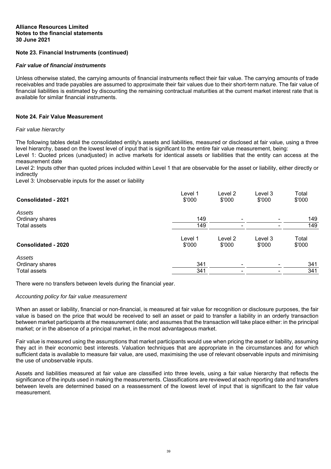## **Note 23. Financial Instruments (continued)**

#### *Fair value of financial instruments*

Unless otherwise stated, the carrying amounts of financial instruments reflect their fair value. The carrying amounts of trade receivables and trade payables are assumed to approximate their fair values due to their short-term nature. The fair value of financial liabilities is estimated by discounting the remaining contractual maturities at the current market interest rate that is available for similar financial instruments.

#### **Note 24. Fair Value Measurement**

#### *Fair value hierarchy*

The following tables detail the consolidated entity's assets and liabilities, measured or disclosed at fair value, using a three level hierarchy, based on the lowest level of input that is significant to the entire fair value measurement, being:

Level 1: Quoted prices (unadjusted) in active markets for identical assets or liabilities that the entity can access at the measurement date

Level 2: Inputs other than quoted prices included within Level 1 that are observable for the asset or liability, either directly or indirectly

Level 3: Unobservable inputs for the asset or liability

| Consolidated - 2021       | Level 1<br>\$'000 | Level 2<br>\$'000 | Level 3<br>\$'000 | Total<br>\$'000 |
|---------------------------|-------------------|-------------------|-------------------|-----------------|
| Assets<br>Ordinary shares | 149               |                   |                   | 149             |
| <b>Total assets</b>       | 149               | -                 |                   | 149             |
| Consolidated - 2020       | Level 1<br>\$'000 | Level 2<br>\$'000 | Level 3<br>\$'000 | Total<br>\$'000 |
| Assets<br>Ordinary shares | 341               | ۰                 |                   | 341             |
| <b>Total assets</b>       | 341               |                   |                   | 341             |

There were no transfers between levels during the financial year.

#### *Accounting policy for fair value measurement*

When an asset or liability, financial or non-financial, is measured at fair value for recognition or disclosure purposes, the fair value is based on the price that would be received to sell an asset or paid to transfer a liability in an orderly transaction between market participants at the measurement date; and assumes that the transaction will take place either: in the principal market; or in the absence of a principal market, in the most advantageous market.

Fair value is measured using the assumptions that market participants would use when pricing the asset or liability, assuming they act in their economic best interests. Valuation techniques that are appropriate in the circumstances and for which sufficient data is available to measure fair value, are used, maximising the use of relevant observable inputs and minimising the use of unobservable inputs.

Assets and liabilities measured at fair value are classified into three levels, using a fair value hierarchy that reflects the significance of the inputs used in making the measurements. Classifications are reviewed at each reporting date and transfers between levels are determined based on a reassessment of the lowest level of input that is significant to the fair value measurement.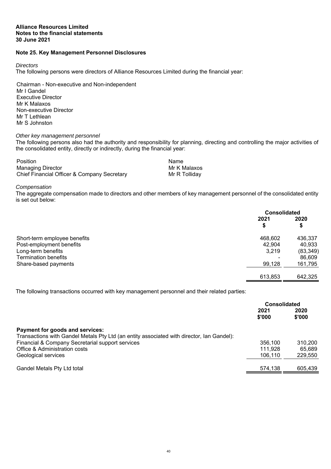## **Note 25. Key Management Personnel Disclosures**

#### *Directors*

The following persons were directors of Alliance Resources Limited during the financial year:

Chairman - Non-executive and Non-independent Mr I Gandel Executive Director Mr K Malaxos Non-executive Director Mr T Lethlean Mr S Johnston

#### *Other key management personnel*

The following persons also had the authority and responsibility for planning, directing and controlling the major activities of the consolidated entity, directly or indirectly, during the financial year:

| <b>Position</b>                             | Name          |
|---------------------------------------------|---------------|
| <b>Managing Director</b>                    | Mr K Malaxos  |
| Chief Financial Officer & Company Secretary | Mr R Tolliday |

#### *Compensation*

The aggregate compensation made to directors and other members of key management personnel of the consolidated entity is set out below:

|                              | <b>Consolidated</b> |            |
|------------------------------|---------------------|------------|
|                              | 2021                | 2020<br>\$ |
| Short-term employee benefits | 468,602             | 436,337    |
| Post-employment benefits     | 42,904              | 40,933     |
| Long-term benefits           | 3,219               | (83, 349)  |
| <b>Termination benefits</b>  |                     | 86,609     |
| Share-based payments         | 99,128              | 161,795    |
|                              | 613,853             | 642,325    |

The following transactions occurred with key management personnel and their related parties:

|                                                                                                                              | <b>Consolidated</b> |                |
|------------------------------------------------------------------------------------------------------------------------------|---------------------|----------------|
|                                                                                                                              | 2021<br>\$'000      | 2020<br>\$'000 |
| Payment for goods and services:<br>Transactions with Gandel Metals Pty Ltd (an entity associated with director, Ian Gandel): |                     |                |
| Financial & Company Secretarial support services                                                                             | 356.100             | 310.200        |
| Office & Administration costs                                                                                                | 111,928             | 65,689         |
| Geological services                                                                                                          | 106.110             | 229,550        |
| Gandel Metals Pty Ltd total                                                                                                  | 574.138             | 605,439        |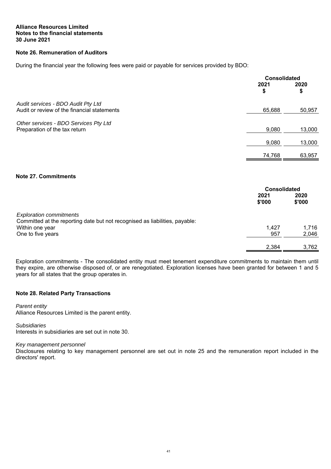# **Note 26. Remuneration of Auditors**

During the financial year the following fees were paid or payable for services provided by BDO:

|                                                                                   | <b>Consolidated</b> |            |
|-----------------------------------------------------------------------------------|---------------------|------------|
|                                                                                   | 2021<br>\$          | 2020<br>\$ |
| Audit services - BDO Audit Pty Ltd<br>Audit or review of the financial statements | 65,688              | 50,957     |
| Other services - BDO Services Pty Ltd<br>Preparation of the tax return            | 9,080               | 13,000     |
|                                                                                   | 9,080               | 13,000     |
|                                                                                   | 74,768              | 63,957     |

#### **Note 27. Commitments**

|                                                                             | <b>Consolidated</b> |                |
|-----------------------------------------------------------------------------|---------------------|----------------|
|                                                                             | 2021<br>\$'000      | 2020<br>\$'000 |
| <b>Exploration commitments</b>                                              |                     |                |
| Committed at the reporting date but not recognised as liabilities, payable: |                     |                |
| Within one year                                                             | 1,427               | 1,716          |
| One to five years                                                           | 957                 | 2,046          |
|                                                                             | 2,384               | 3,762          |

Exploration commitments - The consolidated entity must meet tenement expenditure commitments to maintain them until they expire, are otherwise disposed of, or are renegotiated. Exploration licenses have been granted for between 1 and 5 years for all states that the group operates in.

## **Note 28. Related Party Transactions**

#### *Parent entity*

Alliance Resources Limited is the parent entity.

*Subsidiaries* 

Interests in subsidiaries are set out in note 30.

*Key management personnel* 

Disclosures relating to key management personnel are set out in note 25 and the remuneration report included in the directors' report.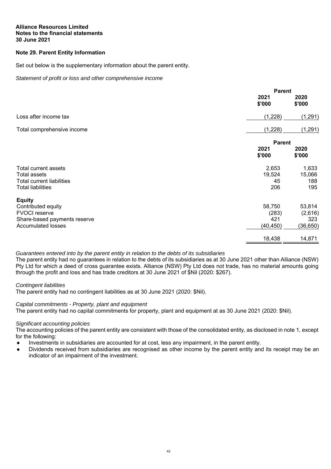## **Note 29. Parent Entity Information**

Set out below is the supplementary information about the parent entity.

*Statement of profit or loss and other comprehensive income* 

|                                                                                                                          | <b>Parent</b>                       |                                       |
|--------------------------------------------------------------------------------------------------------------------------|-------------------------------------|---------------------------------------|
|                                                                                                                          | 2021<br>\$'000                      | 2020<br>\$'000                        |
| Loss after income tax                                                                                                    | (1,228)                             | (1, 291)                              |
| Total comprehensive income                                                                                               | (1,228)                             | (1, 291)                              |
|                                                                                                                          | <b>Parent</b>                       |                                       |
|                                                                                                                          | 2021<br>\$'000                      | 2020<br>\$'000                        |
| Total current assets<br>Total assets<br><b>Total current liabilities</b><br><b>Total liabilities</b>                     | 2,653<br>19,524<br>45<br>206        | 1,633<br>15,066<br>188<br>195         |
| <b>Equity</b><br>Contributed equity<br><b>FVOCI reserve</b><br>Share-based payments reserve<br><b>Accumulated losses</b> | 58,750<br>(283)<br>421<br>(40, 450) | 53,814<br>(2,616)<br>323<br>(36, 650) |
|                                                                                                                          | 18,438                              | 14,871                                |

*Guarantees entered into by the parent entity in relation to the debts of its subsidiaries* 

The parent entity had no guarantees in relation to the debts of its subsidiaries as at 30 June 2021 other than Alliance (NSW) Pty Ltd for which a deed of cross guarantee exists. Alliance (NSW) Pty Ltd does not trade, has no material amounts going through the profit and loss and has trade creditors at 30 June 2021 of \$Nil (2020: \$267).

#### *Contingent liabilities*

The parent entity had no contingent liabilities as at 30 June 2021 (2020: \$Nil).

#### *Capital commitments - Property, plant and equipment*

The parent entity had no capital commitments for property, plant and equipment at as 30 June 2021 (2020: \$Nil).

#### *Significant accounting policies*

The accounting policies of the parent entity are consistent with those of the consolidated entity, as disclosed in note 1, except for the following:

- Investments in subsidiaries are accounted for at cost, less any impairment, in the parent entity.
- Dividends received from subsidiaries are recognised as other income by the parent entity and its receipt may be an indicator of an impairment of the investment.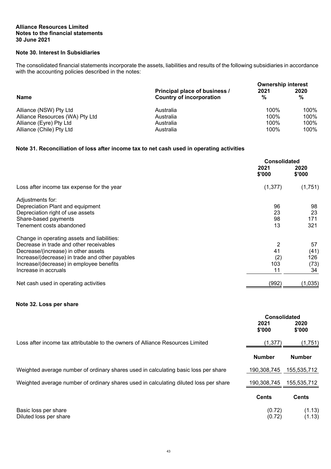# **Note 30. Interest In Subsidiaries**

The consolidated financial statements incorporate the assets, liabilities and results of the following subsidiaries in accordance with the accounting policies described in the notes:

|                                 |                                                                  | <b>Ownership interest</b> |           |
|---------------------------------|------------------------------------------------------------------|---------------------------|-----------|
| <b>Name</b>                     | Principal place of business /<br><b>Country of incorporation</b> | 2021<br>%                 | 2020<br>% |
| Alliance (NSW) Pty Ltd          | Australia                                                        | 100%                      | 100%      |
| Alliance Resources (WA) Pty Ltd | Australia                                                        | 100%                      | 100%      |
| Alliance (Eyre) Pty Ltd         | Australia                                                        | 100%                      | 100%      |
| Alliance (Chile) Pty Ltd        | Australia                                                        | 100%                      | 100%      |

# **Note 31. Reconciliation of loss after income tax to net cash used in operating activities**

|                                                 | <b>Consolidated</b> |                |
|-------------------------------------------------|---------------------|----------------|
|                                                 | 2021<br>\$'000      | 2020<br>\$'000 |
| Loss after income tax expense for the year      | (1, 377)            | (1,751)        |
| Adjustments for:                                |                     |                |
| Depreciation Plant and equipment                | 96                  | 98             |
| Depreciation right of use assets                | 23                  | 23             |
| Share-based payments                            | 98                  | 171            |
| Tenement costs abandoned                        | 13                  | 321            |
| Change in operating assets and liabilities:     |                     |                |
| Decrease in trade and other receivables         | 2                   | 57             |
| Decrease/(increase) in other assets             | 41                  | (41)           |
| Increase/(decrease) in trade and other payables | (2)                 | 126.           |
| Increase/(decrease) in employee benefits        | 103                 | (73)           |
| Increase in accruals                            | 11                  | 34             |
| Net cash used in operating activities           | (992)               | (1,035)        |

## **Note 32. Loss per share**

|                                                                                       | <b>Consolidated</b><br>2021<br>\$'000 | 2020<br>\$'000   |
|---------------------------------------------------------------------------------------|---------------------------------------|------------------|
| Loss after income tax attributable to the owners of Alliance Resources Limited        | (1, 377)                              | (1,751)          |
|                                                                                       | <b>Number</b>                         | <b>Number</b>    |
| Weighted average number of ordinary shares used in calculating basic loss per share   | 190,308,745                           | 155,535,712      |
| Weighted average number of ordinary shares used in calculating diluted loss per share | 190,308,745                           | 155,535,712      |
|                                                                                       | <b>Cents</b>                          | <b>Cents</b>     |
| Basic loss per share<br>Diluted loss per share                                        | (0.72)<br>(0.72)                      | (1.13)<br>(1.13) |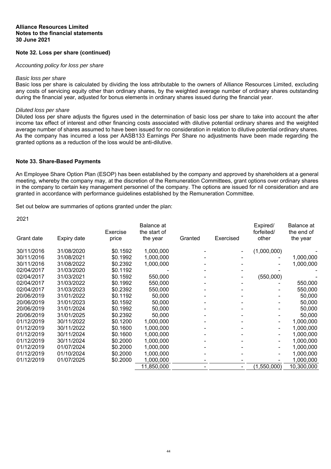## **Note 32. Loss per share (continued)**

#### *Accounting policy for loss per share*

#### *Basic loss per share*

Basic loss per share is calculated by dividing the loss attributable to the owners of Alliance Resources Limited, excluding any costs of servicing equity other than ordinary shares, by the weighted average number of ordinary shares outstanding during the financial year, adjusted for bonus elements in ordinary shares issued during the financial year.

#### *Diluted loss per share*

Diluted loss per share adjusts the figures used in the determination of basic loss per share to take into account the after income tax effect of interest and other financing costs associated with dilutive potential ordinary shares and the weighted average number of shares assumed to have been issued for no consideration in relation to dilutive potential ordinary shares. As the company has incurred a loss per AASB133 Earnings Per Share no adjustments have been made regarding the granted options as a reduction of the loss would be anti-dilutive.

#### **Note 33. Share-Based Payments**

An Employee Share Option Plan (ESOP) has been established by the company and approved by shareholders at a general meeting, whereby the company may, at the discretion of the Remuneration Committees, grant options over ordinary shares in the company to certain key management personnel of the company. The options are issued for nil consideration and are granted in accordance with performance guidelines established by the Remuneration Committee.

Set out below are summaries of options granted under the plan:

2021

|            |             | Exercise | Balance at<br>the start of |         |           | Expired/<br>forfeited/ | Balance at<br>the end of |
|------------|-------------|----------|----------------------------|---------|-----------|------------------------|--------------------------|
| Grant date | Expiry date | price    | the year                   | Granted | Exercised | other                  | the year                 |
| 30/11/2016 | 31/08/2020  | \$0.1592 | 1,000,000                  |         |           | (1,000,000)            |                          |
| 30/11/2016 | 31/08/2021  | \$0.1992 | 1,000,000                  |         |           |                        | 1,000,000                |
| 30/11/2016 | 31/08/2022  | \$0.2392 | 1,000,000                  |         |           |                        | 1,000,000                |
| 02/04/2017 | 31/03/2020  | \$0.1192 |                            |         |           |                        |                          |
| 02/04/2017 | 31/03/2021  | \$0.1592 | 550,000                    |         |           | (550,000)              |                          |
| 02/04/2017 | 31/03/2022  | \$0.1992 | 550,000                    |         |           |                        | 550,000                  |
| 02/04/2017 | 31/03/2023  | \$0.2392 | 550,000                    |         |           |                        | 550,000                  |
| 20/06/2019 | 31/01/2022  | \$0.1192 | 50,000                     |         |           |                        | 50,000                   |
| 20/06/2019 | 31/01/2023  | \$0.1592 | 50,000                     |         |           |                        | 50,000                   |
| 20/06/2019 | 31/01/2024  | \$0.1992 | 50,000                     |         |           |                        | 50,000                   |
| 20/06/2019 | 31/01/2025  | \$0.2392 | 50,000                     |         |           |                        | 50,000                   |
| 01/12/2019 | 30/11/2022  | \$0.1200 | 1,000,000                  |         |           |                        | 1,000,000                |
| 01/12/2019 | 30/11/2022  | \$0.1600 | 1,000,000                  |         |           |                        | 1,000,000                |
| 01/12/2019 | 30/11/2024  | \$0.1600 | 1,000,000                  |         |           |                        | 1,000,000                |
| 01/12/2019 | 30/11/2024  | \$0.2000 | 1,000,000                  |         |           |                        | 1,000,000                |
| 01/12/2019 | 01/07/2024  | \$0.2000 | 1,000,000                  |         |           |                        | 1,000,000                |
| 01/12/2019 | 01/10/2024  | \$0.2000 | 1,000,000                  |         |           |                        | 1,000,000                |
| 01/12/2019 | 01/07/2025  | \$0.2000 | 1,000,000                  |         |           |                        | 1,000,000                |
|            |             |          | 11,850,000                 |         |           | (1,550,000)            | 10,300,000               |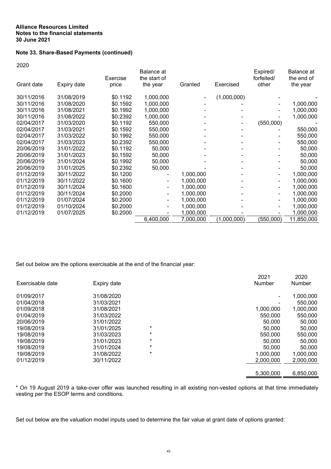# **Note 33. Share-Based Payments (continued)**

2020

|            |             |          | Balance at   |           |             | Expired/   | Balance at |
|------------|-------------|----------|--------------|-----------|-------------|------------|------------|
|            |             | Exercise | the start of |           |             | forfeited/ | the end of |
| Grant date | Expiry date | price    | the year     | Granted   | Exercised   | other      | the year   |
| 30/11/2016 | 31/08/2019  | \$0.1192 | 1,000,000    |           | (1,000,000) |            |            |
| 30/11/2016 | 31/08/2020  | \$0.1592 | 1,000,000    |           |             |            | 1,000,000  |
| 30/11/2016 | 31/08/2021  | \$0.1992 | 1,000,000    |           |             |            | 1,000,000  |
| 30/11/2016 | 31/08/2022  | \$0.2392 | 1,000,000    |           |             |            | 1,000,000  |
| 02/04/2017 | 31/03/2020  | \$0.1192 | 550,000      |           |             | (550,000)  |            |
| 02/04/2017 | 31/03/2021  | \$0.1592 | 550,000      |           |             |            | 550,000    |
| 02/04/2017 | 31/03/2022  | \$0.1992 | 550,000      |           |             |            | 550,000    |
| 02/04/2017 | 31/03/2023  | \$0.2392 | 550,000      |           |             |            | 550,000    |
| 20/06/2019 | 31/01/2022  | \$0.1192 | 50,000       |           |             |            | 50,000     |
| 20/06/2019 | 31/01/2023  | \$0.1592 | 50,000       |           |             |            | 50,000     |
| 20/06/2019 | 31/01/2024  | \$0.1992 | 50,000       |           |             |            | 50,000     |
| 20/06/2019 | 31/01/2025  | \$0.2392 | 50,000       |           |             |            | 50,000     |
| 01/12/2019 | 30/11/2022  | \$0.1200 |              | 1,000,000 |             |            | 1,000,000  |
| 01/12/2019 | 30/11/2022  | \$0.1600 |              | 1,000,000 |             |            | 1,000,000  |
| 01/12/2019 | 30/11/2024  | \$0.1600 |              | 1,000,000 |             |            | 1,000,000  |
| 01/12/2019 | 30/11/2024  | \$0.2000 |              | 1,000,000 |             |            | 1,000,000  |
| 01/12/2019 | 01/07/2024  | \$0.2000 |              | 1,000,000 |             |            | 1,000,000  |
| 01/12/2019 | 01/10/2024  | \$0.2000 |              | 1,000,000 |             |            | 1,000,000  |
| 01/12/2019 | 01/07/2025  | \$0.2000 |              | 1,000,000 |             |            | 1,000,000  |
|            |             |          | 6,400,000    | 7,000,000 | (1,000,000) | (550,000)  | 11,850,000 |

Set out below are the options exercisable at the end of the financial year:

|                  |             |          | 2021          | 2020      |
|------------------|-------------|----------|---------------|-----------|
| Exercisable date | Expiry date |          | <b>Number</b> | Number    |
| 01/09/2017       | 31/08/2020  |          |               | 1,000,000 |
| 01/04/2018       | 31/03/2021  |          |               | 550,000   |
| 01/09/2018       | 31/08/2021  |          | 1,000,000     | 1,000,000 |
| 01/04/2019       | 31/03/2022  |          | 550,000       | 550,000   |
| 20/06/2019       | 31/01/2022  |          | 50,000        | 50,000    |
| 19/08/2019       | 31/01/2025  | $\star$  | 50,000        | 50,000    |
| 19/08/2019       | 31/03/2023  | $^\star$ | 550,000       | 550,000   |
| 19/08/2019       | 31/01/2023  | $^\star$ | 50,000        | 50,000    |
| 19/08/2019       | 31/01/2024  | $\star$  | 50.000        | 50,000    |
| 19/08/2019       | 31/08/2022  | $\star$  | 1.000.000     | 1,000,000 |
| 01/12/2019       | 30/11/2022  |          | 2,000,000     | 2,000,000 |
|                  |             |          |               |           |
|                  |             |          | 5,300,000     | 6,850,000 |

\* On 19 August 2019 a take-over offer was launched resulting in all existing non-vested options at that time immediately vesting per the ESOP terms and conditions.

Set out below are the valuation model inputs used to determine the fair value at grant date of options granted: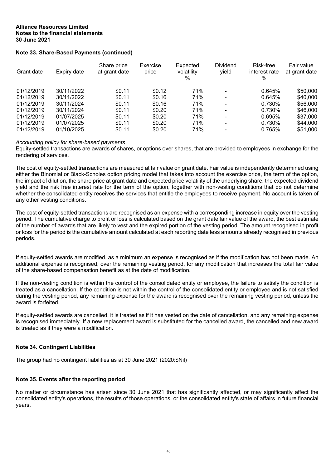## **Note 33. Share-Based Payments (continued)**

| Grant date | Expiry date | Share price<br>at grant date | Exercise<br>price | Expected<br>volatility<br>% | <b>Dividend</b><br>vield | Risk-free<br>interest rate<br>% | Fair value<br>at grant date |
|------------|-------------|------------------------------|-------------------|-----------------------------|--------------------------|---------------------------------|-----------------------------|
| 01/12/2019 | 30/11/2022  | \$0.11                       | \$0.12            | 71%                         |                          | 0.645%                          | \$50,000                    |
| 01/12/2019 | 30/11/2022  | \$0.11                       | \$0.16            | 71%                         | $\overline{\phantom{0}}$ | 0.645%                          | \$40,000                    |
| 01/12/2019 | 30/11/2024  | \$0.11                       | \$0.16            | 71%                         |                          | 0.730%                          | \$56,000                    |
| 01/12/2019 | 30/11/2024  | \$0.11                       | \$0.20            | 71%                         | $\sim$                   | 0.730%                          | \$46,000                    |
| 01/12/2019 | 01/07/2025  | \$0.11                       | \$0.20            | 71%                         |                          | 0.695%                          | \$37,000                    |
| 01/12/2019 | 01/07/2025  | \$0.11                       | \$0.20            | 71%                         |                          | 0.730%                          | \$44,000                    |
| 01/12/2019 | 01/10/2025  | \$0.11                       | \$0.20            | 71%                         |                          | 0.765%                          | \$51,000                    |

#### *Accounting policy for share-based payments*

Equity-settled transactions are awards of shares, or options over shares, that are provided to employees in exchange for the rendering of services.

The cost of equity-settled transactions are measured at fair value on grant date. Fair value is independently determined using either the Binomial or Black-Scholes option pricing model that takes into account the exercise price, the term of the option, the impact of dilution, the share price at grant date and expected price volatility of the underlying share, the expected dividend yield and the risk free interest rate for the term of the option, together with non-vesting conditions that do not determine whether the consolidated entity receives the services that entitle the employees to receive payment. No account is taken of any other vesting conditions.

The cost of equity-settled transactions are recognised as an expense with a corresponding increase in equity over the vesting period. The cumulative charge to profit or loss is calculated based on the grant date fair value of the award, the best estimate of the number of awards that are likely to vest and the expired portion of the vesting period. The amount recognised in profit or loss for the period is the cumulative amount calculated at each reporting date less amounts already recognised in previous periods.

If equity-settled awards are modified, as a minimum an expense is recognised as if the modification has not been made. An additional expense is recognised, over the remaining vesting period, for any modification that increases the total fair value of the share-based compensation benefit as at the date of modification.

If the non-vesting condition is within the control of the consolidated entity or employee, the failure to satisfy the condition is treated as a cancellation. If the condition is not within the control of the consolidated entity or employee and is not satisfied during the vesting period, any remaining expense for the award is recognised over the remaining vesting period, unless the award is forfeited.

If equity-settled awards are cancelled, it is treated as if it has vested on the date of cancellation, and any remaining expense is recognised immediately. If a new replacement award is substituted for the cancelled award, the cancelled and new award is treated as if they were a modification.

## **Note 34. Contingent Liabilities**

The group had no contingent liabilities as at 30 June 2021 (2020:\$Nil)

## **Note 35. Events after the reporting period**

No matter or circumstance has arisen since 30 June 2021 that has significantly affected, or may significantly affect the consolidated entity's operations, the results of those operations, or the consolidated entity's state of affairs in future financial years.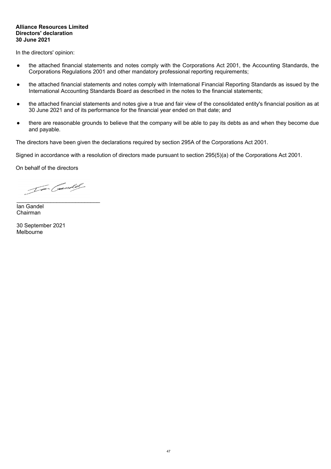#### **Alliance Resources Limited Directors' declaration 30 June 2021**

In the directors' opinion:

- the attached financial statements and notes comply with the Corporations Act 2001, the Accounting Standards, the Corporations Regulations 2001 and other mandatory professional reporting requirements;
- the attached financial statements and notes comply with International Financial Reporting Standards as issued by the International Accounting Standards Board as described in the notes to the financial statements;
- the attached financial statements and notes give a true and fair view of the consolidated entity's financial position as at 30 June 2021 and of its performance for the financial year ended on that date; and
- there are reasonable grounds to believe that the company will be able to pay its debts as and when they become due and payable.

The directors have been given the declarations required by section 295A of the Corporations Act 2001.

Signed in accordance with a resolution of directors made pursuant to section 295(5)(a) of the Corporations Act 2001.

On behalf of the directors

Tar Coundel

 $\mathcal{L}_\text{max}$  , where  $\mathcal{L}_\text{max}$  and  $\mathcal{L}_\text{max}$ 

Ian Gandel Chairman

30 September 2021 Melbourne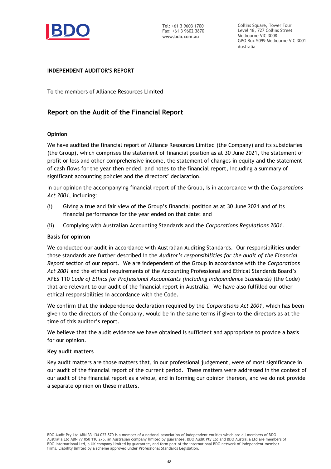

Collins Square, Tower Four Level 18, 727 Collins Street Melbourne VIC 3008 GPO Box 5099 Melbourne VIC 3001 Australia

## **INDEPENDENT AUDITOR'S REPORT**

To the members of Alliance Resources Limited

# **Report on the Audit of the Financial Report**

## **Opinion**

We have audited the financial report of Alliance Resources Limited (the Company) and its subsidiaries (the Group), which comprises the statement of financial position as at 30 June 2021, the statement of profit or loss and other comprehensive income, the statement of changes in equity and the statement of cash flows for the year then ended, and notes to the financial report, including a summary of significant accounting policies and the directors' declaration.

In our opinion the accompanying financial report of the Group, is in accordance with the *Corporations Act 2001*, including:

- (i) Giving a true and fair view of the Group's financial position as at 30 June 2021 and of its financial performance for the year ended on that date; and
- (ii) Complying with Australian Accounting Standards and the *Corporations Regulations 2001*.

#### **Basis for opinion**

We conducted our audit in accordance with Australian Auditing Standards. Our responsibilities under those standards are further described in the *Auditor's responsibilities for the audit of the Financial Report* section of our report. We are independent of the Group in accordance with the *Corporations Act 2001* and the ethical requirements of the Accounting Professional and Ethical Standards Board's APES 110 *Code of Ethics for Professional Accountants (including Independence Standards)* (the Code) that are relevant to our audit of the financial report in Australia. We have also fulfilled our other ethical responsibilities in accordance with the Code.

We confirm that the independence declaration required by the *Corporations Act 2001*, which has been given to the directors of the Company, would be in the same terms if given to the directors as at the time of this auditor's report.

We believe that the audit evidence we have obtained is sufficient and appropriate to provide a basis for our opinion.

#### **Key audit matters**

Key audit matters are those matters that, in our professional judgement, were of most significance in our audit of the financial report of the current period. These matters were addressed in the context of our audit of the financial report as a whole, and in forming our opinion thereon, and we do not provide a separate opinion on these matters.

BDO Audit Pty Ltd ABN 33 134 022 870 is a member of a national association of independent entities which are all members of BDO Australia Ltd ABN 77 050 110 275, an Australian company limited by guarantee. BDO Audit Pty Ltd and BDO Australia Ltd are members of BDO International Ltd, a UK company limited by guarantee, and form part of the international BDO network of independent member firms. Liability limited by a scheme approved under Professional Standards Legislation.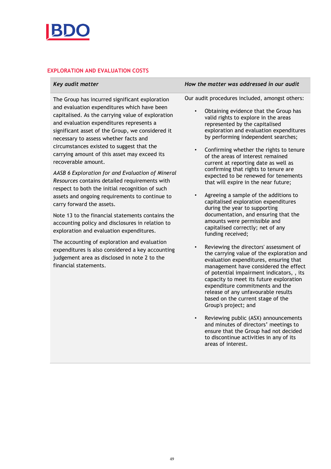

## **EXPLORATION AND EVALUATION COSTS**

| Key audit matter | How the matter was addressed in our audit |
|------------------|-------------------------------------------|
|                  |                                           |

The Group has incurred significant exploration and evaluation expenditures which have been capitalised. As the carrying value of exploration and evaluation expenditures represents a significant asset of the Group, we considered it necessary to assess whether facts and circumstances existed to suggest that the carrying amount of this asset may exceed its recoverable amount.

*AASB 6 Exploration for and Evaluation of Mineral Resources* contains detailed requirements with respect to both the initial recognition of such assets and ongoing requirements to continue to carry forward the assets.

Note 13 to the financial statements contains the accounting policy and disclosures in relation to exploration and evaluation expenditures.

The accounting of exploration and evaluation expenditures is also considered a key accounting judgement area as disclosed in note 2 to the financial statements.

Our audit procedures included, amongst others:

- Obtaining evidence that the Group has valid rights to explore in the areas represented by the capitalised exploration and evaluation expenditures by performing independent searches;
- Confirming whether the rights to tenure of the areas of interest remained current at reporting date as well as confirming that rights to tenure are expected to be renewed for tenements that will expire in the near future;
- Agreeing a sample of the additions to capitalised exploration expenditures during the year to supporting documentation, and ensuring that the amounts were permissible and capitalised correctly; net of any funding received;
- Reviewing the directors' assessment of the carrying value of the exploration and evaluation expenditures, ensuring that management have considered the effect of potential impairment indicators, , its capacity to meet its future exploration expenditure commitments and the release of any unfavourable results based on the current stage of the Group's project; and
- Reviewing public (ASX) announcements and minutes of directors' meetings to ensure that the Group had not decided to discontinue activities in any of its areas of interest.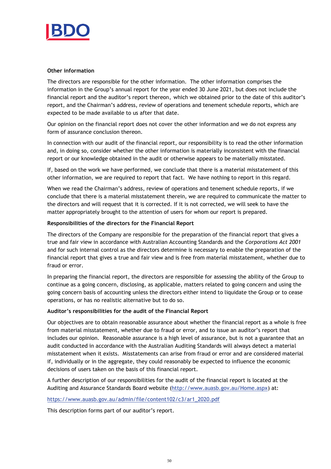

## **Other information**

The directors are responsible for the other information. The other information comprises the information in the Group's annual report for the year ended 30 June 2021, but does not include the financial report and the auditor's report thereon, which we obtained prior to the date of this auditor's report, and the Chairman's address, review of operations and tenement schedule reports, which are expected to be made available to us after that date.

Our opinion on the financial report does not cover the other information and we do not express any form of assurance conclusion thereon.

In connection with our audit of the financial report, our responsibility is to read the other information and, in doing so, consider whether the other information is materially inconsistent with the financial report or our knowledge obtained in the audit or otherwise appears to be materially misstated.

If, based on the work we have performed, we conclude that there is a material misstatement of this other information, we are required to report that fact. We have nothing to report in this regard.

When we read the Chairman's address, review of operations and tenement schedule reports, if we conclude that there is a material misstatement therein, we are required to communicate the matter to the directors and will request that it is corrected. If it is not corrected, we will seek to have the matter appropriately brought to the attention of users for whom our report is prepared.

## **Responsibilities of the directors for the Financial Report**

The directors of the Company are responsible for the preparation of the financial report that gives a true and fair view in accordance with Australian Accounting Standards and the *Corporations Act 2001* and for such internal control as the directors determine is necessary to enable the preparation of the financial report that gives a true and fair view and is free from material misstatement, whether due to fraud or error.

In preparing the financial report, the directors are responsible for assessing the ability of the Group to continue as a going concern, disclosing, as applicable, matters related to going concern and using the going concern basis of accounting unless the directors either intend to liquidate the Group or to cease operations, or has no realistic alternative but to do so.

## **Auditor's responsibilities for the audit of the Financial Report**

Our objectives are to obtain reasonable assurance about whether the financial report as a whole is free from material misstatement, whether due to fraud or error, and to issue an auditor's report that includes our opinion. Reasonable assurance is a high level of assurance, but is not a guarantee that an audit conducted in accordance with the Australian Auditing Standards will always detect a material misstatement when it exists. Misstatements can arise from fraud or error and are considered material if, individually or in the aggregate, they could reasonably be expected to influence the economic decisions of users taken on the basis of this financial report.

A further description of our responsibilities for the audit of the financial report is located at the Auditing and Assurance Standards Board website [\(http://www.auasb.gov.au/Home.aspx\)](http://www.auasb.gov.au/Home.aspx) at:

[https://www.auasb.gov.au/admin/file/content102/c3/ar1\\_2020.pdf](https://www.auasb.gov.au/admin/file/content102/c3/ar1_2020.pdf)

This description forms part of our auditor's report.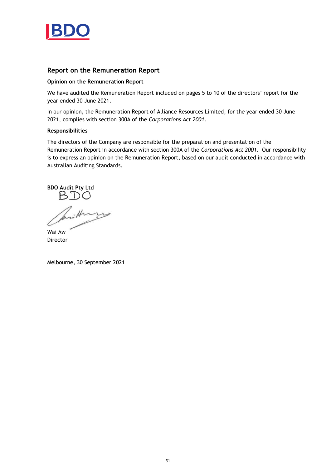

# **Report on the Remuneration Report**

## **Opinion on the Remuneration Report**

We have audited the Remuneration Report included on pages 5 to 10 of the directors' report for the year ended 30 June 2021.

In our opinion, the Remuneration Report of Alliance Resources Limited, for the year ended 30 June 2021, complies with section 300A of the *Corporations Act 2001*.

## **Responsibilities**

The directors of the Company are responsible for the preparation and presentation of the Remuneration Report in accordance with section 300A of the *Corporations Act 2001*. Our responsibility is to express an opinion on the Remuneration Report, based on our audit conducted in accordance with Australian Auditing Standards.

**BDO Audit Pty Ltd** BDO

pritting

Wai Aw Director

Melbourne, 30 September 2021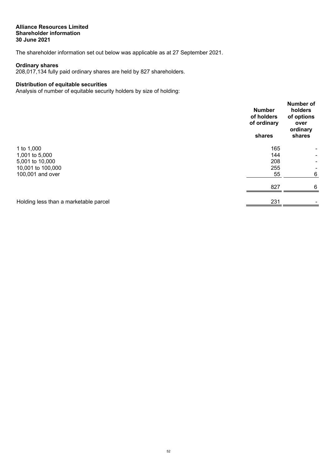## **Alliance Resources Limited Shareholder information 30 June 2021**

The shareholder information set out below was applicable as at 27 September 2021.

## **Ordinary shares**

208,017,134 fully paid ordinary shares are held by 827 shareholders.

# **Distribution of equitable securities**

Analysis of number of equitable security holders by size of holding:

|                                       | <b>Number</b><br>of holders<br>of ordinary<br>shares | <b>Number of</b><br>holders<br>of options<br>over<br>ordinary<br>shares |
|---------------------------------------|------------------------------------------------------|-------------------------------------------------------------------------|
| 1 to 1,000                            | 165                                                  |                                                                         |
| 1,001 to 5,000                        | 144                                                  |                                                                         |
| 5,001 to 10,000<br>10,001 to 100,000  | 208<br>255                                           |                                                                         |
| 100,001 and over                      | 55                                                   | $\,6$                                                                   |
|                                       | 827                                                  | 6                                                                       |
| Holding less than a marketable parcel | 231                                                  |                                                                         |
|                                       |                                                      |                                                                         |